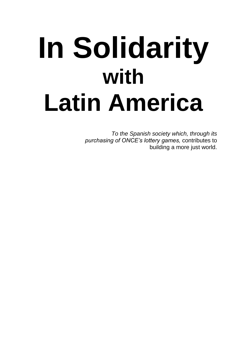# **In Solidarity with Latin America**

*To the Spanish society which, through its purchasing of ONCE's lottery games,* contributes to building a more just world.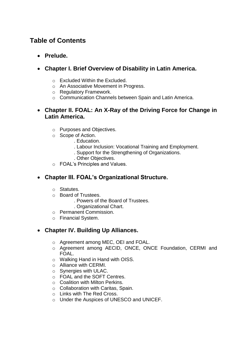# **Table of Contents**

- **Prelude.**
- **Chapter I. Brief Overview of Disability in Latin America.** 
	- o Excluded Within the Excluded.
	- o An Associative Movement in Progress.
	- o Regulatory Framework.
	- o Communication Channels between Spain and Latin America.
- **Chapter II. FOAL: An X-Ray of the Driving Force for Change in Latin America.** 
	- o Purposes and Objectives.
	- o Scope of Action.
		- . Education.
		- . Labour Inclusion: Vocational Training and Employment.
		- . Support for the Strengthening of Organizations.
		- . Other Objectives.
	- o FOAL's Principles and Values.

## **Chapter III. FOAL's Organizational Structure.**

- o Statutes.
- o Board of Trustees.
	- . Powers of the Board of Trustees.
	- . Organizational Chart.
- o Permanent Commission.
- o Financial System.

## **Chapter IV. Building Up Alliances.**

- o Agreement among MEC, OEI and FOAL.
- o Agreement among AECID, ONCE, ONCE Foundation, CERMI and FOAL.
- o Walking Hand in Hand with OISS.
- o Alliance with CERMI.
- o Synergies with ULAC.
- o FOAL and the SOFT Centres.
- o Coalition with Milton Perkins.
- o Collaboration with Caritas, Spain.
- o Links with The Red Cross.
- o Under the Auspices of UNESCO and UNICEF.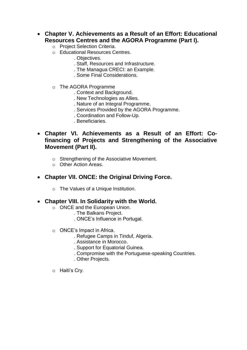- **Chapter V. Achievements as a Result of an Effort: Educational Resources Centres and the AGORA Programme (Part I).** 
	- o Project Selection Criteria.
	- o Educational Resources Centres.
		- . Objectives.
		- . Staff, Resources and Infrastructure.
		- . The Managua CRECI: an Example.
		- . Some Final Considerations.
	- o The AGORA Programme
		- . Context and Background.
		- . New Technologies as Allies.
		- . Nature of an Integral Programme.
		- . Services Provided by the AGORA Programme.
		- . Coordination and Follow-Up.
		- . Beneficiaries.
- **Chapter VI. Achievements as a Result of an Effort: Cofinancing of Projects and Strengthening of the Associative Movement (Part II).** 
	- o Strengthening of the Associative Movement.
	- o Other Action Areas.
- **Chapter VII. ONCE: the Original Driving Force.** 
	- o The Values of a Unique Institution.
- **Chapter VIII. In Solidarity with the World.** 
	- o ONCE and the European Union.
		- . The Balkans Project.
		- . ONCE's Influence in Portugal.
	- o ONCE's Impact in Africa.
		- . Refugee Camps in Tinduf, Algeria.
		- . Assistance in Morocco.
		- . Support for Equatorial Guinea.
		- . Compromise with the Portuguese-speaking Countries.
		- . Other Projects.
	- o Haiti's Cry.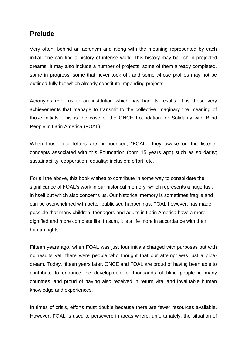## **Prelude**

Very often, behind an acronym and along with the meaning represented by each initial, one can find a history of intense work. This history may be rich in projected dreams. It may also include a number of projects, some of them already completed, some in progress; some that never took off, and some whose profiles may not be outlined fully but which already constitute impending projects.

Acronyms refer us to an institution which has had its results. It is those very achievements that manage to transmit to the collective imaginary the meaning of those initials. This is the case of the ONCE Foundation for Solidarity with Blind People in Latin America (FOAL).

When those four letters are pronounced, "FOAL", they awake on the listener concepts associated with this Foundation (born 15 years ago) such as solidarity; sustainability; cooperation; equality; inclusion; effort, etc.

For all the above, this book wishes to contribute in some way to consolidate the significance of FOAL's work in our historical memory, which represents a huge task in itself but which also concerns us. Our historical memory is sometimes fragile and can be overwhelmed with better publicised happenings. FOAL however, has made possible that many children, teenagers and adults in Latin America have a more dignified and more complete life. In sum, it is a life more in accordance with their human rights.

Fifteen years ago, when FOAL was just four initials charged with purposes but with no results yet, there were people who thought that our attempt was just a pipedream. Today, fifteen years later, ONCE and FOAL are proud of having been able to contribute to enhance the development of thousands of blind people in many countries, and proud of having also received in return vital and invaluable human knowledge and experiences.

In times of crisis, efforts must double because there are fewer resources available. However, FOAL is used to persevere in areas where, unfortunately, the situation of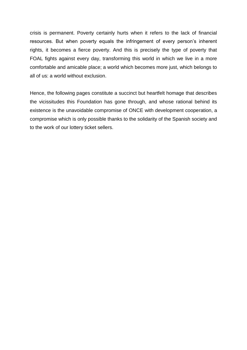crisis is permanent. Poverty certainly hurts when it refers to the lack of financial resources. But when poverty equals the infringement of every person's inherent rights, it becomes a fierce poverty. And this is precisely the type of poverty that FOAL fights against every day, transforming this world in which we live in a more comfortable and amicable place; a world which becomes more just, which belongs to all of us: a world without exclusion.

Hence, the following pages constitute a succinct but heartfelt homage that describes the vicissitudes this Foundation has gone through, and whose rational behind its existence is the unavoidable compromise of ONCE with development cooperation, a compromise which is only possible thanks to the solidarity of the Spanish society and to the work of our lottery ticket sellers.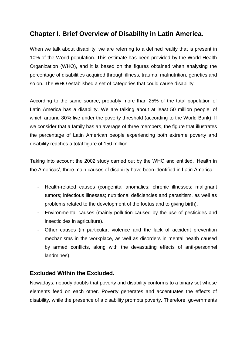## **Chapter I. Brief Overview of Disability in Latin America.**

When we talk about disability, we are referring to a defined reality that is present in 10% of the World population. This estimate has been provided by the World Health Organization (WHO), and it is based on the figures obtained when analysing the percentage of disabilities acquired through illness, trauma, malnutrition, genetics and so on. The WHO established a set of categories that could cause disability.

According to the same source, probably more than 25% of the total population of Latin America has a disability. We are talking about at least 50 million people, of which around 80% live under the poverty threshold (according to the World Bank). If we consider that a family has an average of three members, the figure that illustrates the percentage of Latin American people experiencing both extreme poverty and disability reaches a total figure of 150 million.

Taking into account the 2002 study carried out by the WHO and entitled, 'Health in the Americas', three main causes of disability have been identified in Latin America:

- Health-related causes (congenital anomalies; chronic illnesses; malignant tumors; infectious illnesses; nutritional deficiencies and parasitism, as well as problems related to the development of the foetus and to giving birth).
- Environmental causes (mainly pollution caused by the use of pesticides and insecticides in agriculture).
- Other causes (in particular, violence and the lack of accident prevention mechanisms in the workplace, as well as disorders in mental health caused by armed conflicts, along with the devastating effects of anti-personnel landmines).

## **Excluded Within the Excluded.**

Nowadays, nobody doubts that poverty and disability conforms to a binary set whose elements feed on each other. Poverty generates and accentuates the effects of disability, while the presence of a disability prompts poverty. Therefore, governments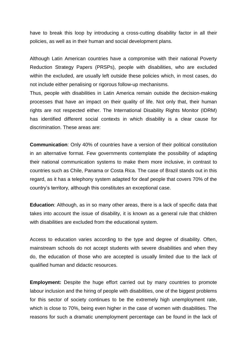have to break this loop by introducing a cross-cutting disability factor in all their policies, as well as in their human and social development plans.

Although Latin American countries have a compromise with their national Poverty Reduction Strategy Papers (PRSPs), people with disabilities, who are excluded within the excluded, are usually left outside these policies which, in most cases, do not include either penalising or rigorous follow-up mechanisms.

Thus, people with disabilities in Latin America remain outside the decision-making processes that have an impact on their quality of life. Not only that, their human rights are not respected either. The International Disability Rights Monitor (IDRM) has identified different social contexts in which disability is a clear cause for discrimination. These areas are:

**Communication**: Only 40% of countries have a version of their political constitution in an alternative format. Few governments contemplate the possibility of adapting their national communication systems to make them more inclusive, in contrast to countries such as Chile, Panama or Costa Rica. The case of Brazil stands out in this regard, as it has a telephony system adapted for deaf people that covers 70% of the country's territory, although this constitutes an exceptional case.

**Education**: Although, as in so many other areas, there is a lack of specific data that takes into account the issue of disability, it is known as a general rule that children with disabilities are excluded from the educational system.

Access to education varies according to the type and degree of disability. Often, mainstream schools do not accept students with severe disabilities and when they do, the education of those who are accepted is usually limited due to the lack of qualified human and didactic resources.

**Employment:** Despite the huge effort carried out by many countries to promote labour inclusion and the hiring of people with disabilities, one of the biggest problems for this sector of society continues to be the extremely high unemployment rate, which is close to 70%, being even higher in the case of women with disabilities. The reasons for such a dramatic unemployment percentage can be found in the lack of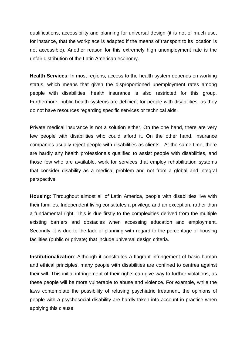qualifications, accessibility and planning for universal design (it is not of much use, for instance, that the workplace is adapted if the means of transport to its location is not accessible). Another reason for this extremely high unemployment rate is the unfair distribution of the Latin American economy.

**Health Services**: In most regions, access to the health system depends on working status, which means that given the disproportioned unemployment rates among people with disabilities, health insurance is also restricted for this group. Furthermore, public health systems are deficient for people with disabilities, as they do not have resources regarding specific services or technical aids.

Private medical insurance is not a solution either. On the one hand, there are very few people with disabilities who could afford it. On the other hand, insurance companies usually reject people with disabilities as clients. At the same time, there are hardly any health professionals qualified to assist people with disabilities, and those few who are available, work for services that employ rehabilitation systems that consider disability as a medical problem and not from a global and integral perspective.

**Housing**: Throughout almost all of Latin America, people with disabilities live with their families. Independent living constitutes a privilege and an exception, rather than a fundamental right. This is due firstly to the complexities derived from the multiple existing barriers and obstacles when accessing education and employment. Secondly, it is due to the lack of planning with regard to the percentage of housing facilities (public or private) that include universal design criteria.

**Institutionalization**: Although it constitutes a flagrant infringement of basic human and ethical principles, many people with disabilities are confined to centres against their will. This initial infringement of their rights can give way to further violations, as these people will be more vulnerable to abuse and violence. For example, while the laws contemplate the possibility of refusing psychiatric treatment, the opinions of people with a psychosocial disability are hardly taken into account in practice when applying this clause.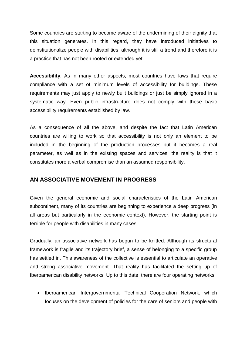Some countries are starting to become aware of the undermining of their dignity that this situation generates. In this regard, they have introduced initiatives to deinstitutionalize people with disabilities, although it is still a trend and therefore it is a practice that has not been rooted or extended yet.

**Accessibility**: As in many other aspects, most countries have laws that require compliance with a set of minimum levels of accessibility for buildings. These requirements may just apply to newly built buildings or just be simply ignored in a systematic way. Even public infrastructure does not comply with these basic accessibility requirements established by law.

As a consequence of all the above, and despite the fact that Latin American countries are willing to work so that accessibility is not only an element to be included in the beginning of the production processes but it becomes a real parameter, as well as in the existing spaces and services, the reality is that it constitutes more a verbal compromise than an assumed responsibility.

#### **AN ASSOCIATIVE MOVEMENT IN PROGRESS**

Given the general economic and social characteristics of the Latin American subcontinent, many of its countries are beginning to experience a deep progress (in all areas but particularly in the economic context). However, the starting point is terrible for people with disabilities in many cases.

Gradually, an associative network has begun to be knitted. Although its structural framework is fragile and its trajectory brief, a sense of belonging to a specific group has settled in. This awareness of the collective is essential to articulate an operative and strong associative movement. That reality has facilitated the setting up of Iberoamerican disability networks. Up to this date, there are four operating networks:

• Iberoamerican Intergovernmental Technical Cooperation Network, which focuses on the development of policies for the care of seniors and people with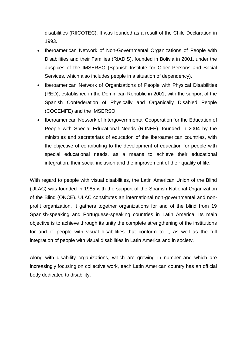disabilities (RIICOTEC). It was founded as a result of the Chile Declaration in 1993.

- Iberoamerican Network of Non-Governmental Organizations of People with Disabilities and their Families (RIADIS), founded in Bolivia in 2001, under the auspices of the IMSERSO (Spanish Institute for Older Persons and Social Services, which also includes people in a situation of dependency).
- Iberoamerican Network of Organizations of People with Physical Disabilities (RED), established in the Dominican Republic in 2001, with the support of the Spanish Confederation of Physically and Organically Disabled People (COCEMFE) and the IMSERSO.
- Iberoamerican Network of Intergovernmental Cooperation for the Education of People with Special Educational Needs (RIINEE), founded in 2004 by the ministries and secretariats of education of the Iberoamerican countries, with the objective of contributing to the development of education for people with special educational needs, as a means to achieve their educational integration, their social inclusion and the improvement of their quality of life.

With regard to people with visual disabilities, the Latin American Union of the Blind (ULAC) was founded in 1985 with the support of the Spanish National Organization of the Blind (ONCE). ULAC constitutes an international non-governmental and nonprofit organization. It gathers together organizations for and of the blind from 19 Spanish-speaking and Portuguese-speaking countries in Latin America. Its main objective is to achieve through its unity the complete strengthening of the institutions for and of people with visual disabilities that conform to it, as well as the full integration of people with visual disabilities in Latin America and in society.

Along with disability organizations, which are growing in number and which are increasingly focusing on collective work, each Latin American country has an official body dedicated to disability.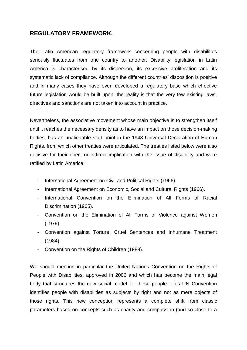#### **REGULATORY FRAMEWORK.**

The Latin American regulatory framework concerning people with disabilities seriously fluctuates from one country to another. Disability legislation in Latin America is characterised by its dispersion, its excessive proliferation and its systematic lack of compliance. Although the different countries' disposition is positive and in many cases they have even developed a regulatory base which effective future legislation would be built upon, the reality is that the very few existing laws, directives and sanctions are not taken into account in practice.

Nevertheless, the associative movement whose main objective is to strengthen itself until it reaches the necessary density as to have an impact on those decision-making bodies, has an unalienable start point in the 1948 Universal Declaration of Human Rights, from which other treaties were articulated. The treaties listed below were also decisive for their direct or indirect implication with the issue of disability and were ratified by Latin America:

- International Agreement on Civil and Political Rights (1966).
- International Agreement on Economic, Social and Cultural Rights (1966).
- International Convention on the Elimination of All Forms of Racial Discrimination (1965).
- Convention on the Elimination of All Forms of Violence against Women (1979).
- Convention against Torture, Cruel Sentences and Inhumane Treatment (1984).
- Convention on the Rights of Children (1989).

We should mention in particular the United Nations Convention on the Rights of People with Disabilities, approved in 2006 and which has become the main legal body that structures the new social model for these people. This UN Convention identifies people with disabilities as subjects by right and not as mere objects of those rights. This new conception represents a complete shift from classic parameters based on concepts such as charity and compassion (and so close to a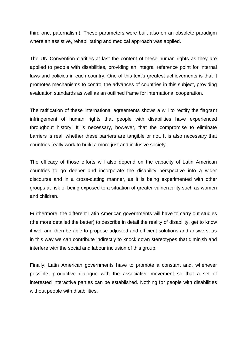third one, paternalism). These parameters were built also on an obsolete paradigm where an assistive, rehabilitating and medical approach was applied.

The UN Convention clarifies at last the content of these human rights as they are applied to people with disabilities, providing an integral reference point for internal laws and policies in each country. One of this text's greatest achievements is that it promotes mechanisms to control the advances of countries in this subject, providing evaluation standards as well as an outlined frame for international cooperation.

The ratification of these international agreements shows a will to rectify the flagrant infringement of human rights that people with disabilities have experienced throughout history. It is necessary, however, that the compromise to eliminate barriers is real, whether these barriers are tangible or not. It is also necessary that countries really work to build a more just and inclusive society.

The efficacy of those efforts will also depend on the capacity of Latin American countries to go deeper and incorporate the disability perspective into a wider discourse and in a cross-cutting manner, as it is being experimented with other groups at risk of being exposed to a situation of greater vulnerability such as women and children.

Furthermore, the different Latin American governments will have to carry out studies (the more detailed the better) to describe in detail the reality of disability, get to know it well and then be able to propose adjusted and efficient solutions and answers, as in this way we can contribute indirectly to knock down stereotypes that diminish and interfere with the social and labour inclusion of this group.

Finally, Latin American governments have to promote a constant and, whenever possible, productive dialogue with the associative movement so that a set of interested interactive parties can be established. Nothing for people with disabilities without people with disabilities.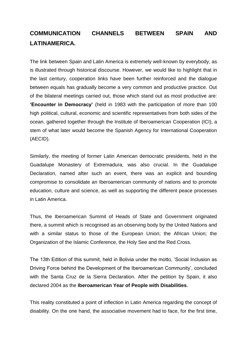# **COMMUNICATION CHANNELS BETWEEN SPAIN AND LATINAMERICA.**

The link between Spain and Latin America is extremely well-known by everybody, as is illustrated through historical discourse. However, we would like to highlight that in the last century, cooperation links have been further reinforced and the dialogue between equals has gradually become a very common and productive practice. Out of the bilateral meetings carried out, those which stand out as most productive are: **'Encounter in Democracy'** (held in 1983 with the participation of more than 100 high political, cultural, economic and scientific representatives from both sides of the ocean, gathered together through the Institute of Iberoamerican Cooperation (ICI), a stem of what later would become the Spanish Agency for International Cooperation (AECID).

Similarly, the meeting of former Latin American democratic presidents, held in the Guadalupe Monastery of Extremadura, was also crucial. In the Guadalupe Declaration, named after such an event, there was an explicit and bounding compromise to consolidate an Iberoamerican community of nations and to promote education, culture and science, as well as supporting the different peace processes in Latin America.

Thus, the Iberoamerican Summit of Heads of State and Government originated there, a summit which is recognised as an observing body by the United Nations and with a similar status to those of the European Union; the African Union; the Organization of the Islamic Conference, the Holy See and the Red Cross.

The 13th Edition of this summit, held in Bolivia under the motto, 'Social Inclusion as Driving Force behind the Development of the Iberoamerican Community', concluded with the Santa Cruz de la Sierra Declaration. After the petition by Spain, it also declared 2004 as the **Iberoamerican Year of People with Disabilities**.

This reality constituted a point of inflection in Latin America regarding the concept of disability. On the one hand, the associative movement had to face, for the first time,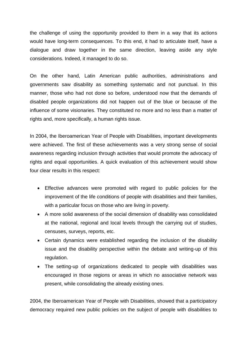the challenge of using the opportunity provided to them in a way that its actions would have long-term consequences. To this end, it had to articulate itself, have a dialogue and draw together in the same direction, leaving aside any style considerations. Indeed, it managed to do so.

On the other hand, Latin American public authorities, administrations and governments saw disability as something systematic and not punctual. In this manner, those who had not done so before, understood now that the demands of disabled people organizations did not happen out of the blue or because of the influence of some visionaries. They constituted no more and no less than a matter of rights and, more specifically, a human rights issue.

In 2004, the Iberoamerican Year of People with Disabilities, important developments were achieved. The first of these achievements was a very strong sense of social awareness regarding inclusion through activities that would promote the advocacy of rights and equal opportunities. A quick evaluation of this achievement would show four clear results in this respect:

- Effective advances were promoted with regard to public policies for the improvement of the life conditions of people with disabilities and their families, with a particular focus on those who are living in poverty.
- A more solid awareness of the social dimension of disability was consolidated at the national, regional and local levels through the carrying out of studies, censuses, surveys, reports, etc.
- Certain dynamics were established regarding the inclusion of the disability issue and the disability perspective within the debate and writing-up of this regulation.
- The setting-up of organizations dedicated to people with disabilities was encouraged in those regions or areas in which no associative network was present, while consolidating the already existing ones.

2004, the Iberoamerican Year of People with Disabilities, showed that a participatory democracy required new public policies on the subject of people with disabilities to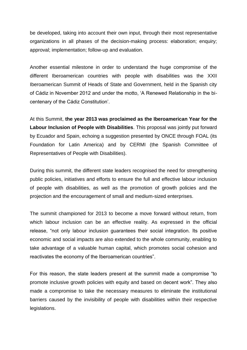be developed, taking into account their own input, through their most representative organizations in all phases of the decision-making process: elaboration; enquiry; approval; implementation; follow-up and evaluation.

Another essential milestone in order to understand the huge compromise of the different Iberoamerican countries with people with disabilities was the XXII Iberoamerican Summit of Heads of State and Government, held in the Spanish city of Cádiz in November 2012 and under the motto, 'A Renewed Relationship in the bicentenary of the Cádiz Constitution'.

At this Summit, **the year 2013 was proclaimed as the Iberoamerican Year for the Labour Inclusion of People with Disabilities**. This proposal was jointly put forward by Ecuador and Spain, echoing a suggestion presented by ONCE through FOAL (its Foundation for Latin America) and by CERMI (the Spanish Committee of Representatives of People with Disabilities).

During this summit, the different state leaders recognised the need for strengthening public policies, initiatives and efforts to ensure the full and effective labour inclusion of people with disabilities, as well as the promotion of growth policies and the projection and the encouragement of small and medium-sized enterprises.

The summit championed for 2013 to become a move forward without return, from which labour inclusion can be an effective reality. As expressed in the official release, "not only labour inclusion guarantees their social integration. Its positive economic and social impacts are also extended to the whole community, enabling to take advantage of a valuable human capital, which promotes social cohesion and reactivates the economy of the Iberoamerican countries".

For this reason, the state leaders present at the summit made a compromise "to promote inclusive growth policies with equity and based on decent work". They also made a compromise to take the necessary measures to eliminate the institutional barriers caused by the invisibility of people with disabilities within their respective legislations.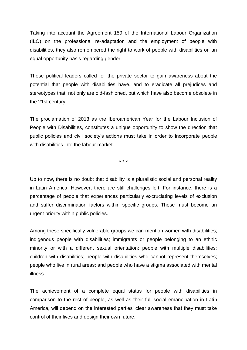Taking into account the Agreement 159 of the International Labour Organization (ILO) on the professional re-adaptation and the employment of people with disabilities, they also remembered the right to work of people with disabilities on an equal opportunity basis regarding gender.

These political leaders called for the private sector to gain awareness about the potential that people with disabilities have, and to eradicate all prejudices and stereotypes that, not only are old-fashioned, but which have also become obsolete in the 21st century.

The proclamation of 2013 as the Iberoamerican Year for the Labour Inclusion of People with Disabilities, constitutes a unique opportunity to show the direction that public policies and civil society's actions must take in order to incorporate people with disabilities into the labour market.

\* \* \*

Up to now, there is no doubt that disability is a pluralistic social and personal reality in Latin America. However, there are still challenges left. For instance, there is a percentage of people that experiences particularly excruciating levels of exclusion and suffer discrimination factors within specific groups. These must become an urgent priority within public policies.

Among these specifically vulnerable groups we can mention women with disabilities; indigenous people with disabilities; immigrants or people belonging to an ethnic minority or with a different sexual orientation; people with multiple disabilities; children with disabilities; people with disabilities who cannot represent themselves; people who live in rural areas; and people who have a stigma associated with mental illness.

The achievement of a complete equal status for people with disabilities in comparison to the rest of people, as well as their full social emancipation in Latin America, will depend on the interested parties' clear awareness that they must take control of their lives and design their own future.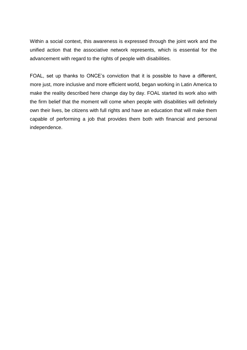Within a social context, this awareness is expressed through the joint work and the unified action that the associative network represents, which is essential for the advancement with regard to the rights of people with disabilities.

FOAL, set up thanks to ONCE's conviction that it is possible to have a different, more just, more inclusive and more efficient world, began working in Latin America to make the reality described here change day by day. FOAL started its work also with the firm belief that the moment will come when people with disabilities will definitely own their lives, be citizens with full rights and have an education that will make them capable of performing a job that provides them both with financial and personal independence.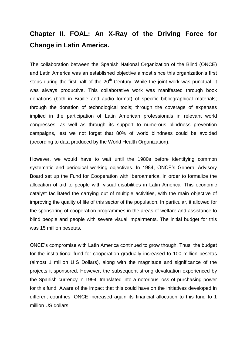# **Chapter II. FOAL: An X-Ray of the Driving Force for Change in Latin America.**

The collaboration between the Spanish National Organization of the Blind (ONCE) and Latin America was an established objective almost since this organization's first steps during the first half of the  $20<sup>th</sup>$  Century. While the joint work was punctual, it was always productive. This collaborative work was manifested through book donations (both in Braille and audio format) of specific bibliographical materials; through the donation of technological tools; through the coverage of expenses implied in the participation of Latin American professionals in relevant world congresses, as well as through its support to numerous blindness prevention campaigns, lest we not forget that 80% of world blindness could be avoided (according to data produced by the World Health Organization).

However, we would have to wait until the 1980s before identifying common systematic and periodical working objectives. In 1984, ONCE's General Advisory Board set up the Fund for Cooperation with Iberoamerica, in order to formalize the allocation of aid to people with visual disabilities in Latin America. This economic catalyst facilitated the carrying out of multiple activities, with the main objective of improving the quality of life of this sector of the population. In particular, it allowed for the sponsoring of cooperation programmes in the areas of welfare and assistance to blind people and people with severe visual impairments. The initial budget for this was 15 million pesetas.

ONCE's compromise with Latin America continued to grow though. Thus, the budget for the institutional fund for cooperation gradually increased to 100 million pesetas (almost 1 million U.S Dollars), along with the magnitude and significance of the projects it sponsored. However, the subsequent strong devaluation experienced by the Spanish currency in 1994, translated into a notorious loss of purchasing power for this fund. Aware of the impact that this could have on the initiatives developed in different countries, ONCE increased again its financial allocation to this fund to 1 million US dollars.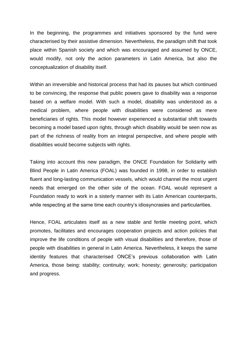In the beginning, the programmes and initiatives sponsored by the fund were characterised by their assistive dimension. Nevertheless, the paradigm shift that took place within Spanish society and which was encouraged and assumed by ONCE, would modify, not only the action parameters in Latin America, but also the conceptualization of disability itself.

Within an irreversible and historical process that had its pauses but which continued to be convincing, the response that public powers gave to disability was a response based on a welfare model. With such a model, disability was understood as a medical problem, where people with disabilities were considered as mere beneficiaries of rights. This model however experienced a substantial shift towards becoming a model based upon rights, through which disability would be seen now as part of the richness of reality from an integral perspective, and where people with disabilities would become subjects with rights.

Taking into account this new paradigm, the ONCE Foundation for Solidarity with Blind People in Latin America (FOAL) was founded in 1998, in order to establish fluent and long-lasting communication vessels, which would channel the most urgent needs that emerged on the other side of the ocean. FOAL would represent a Foundation ready to work in a sisterly manner with its Latin American counterparts, while respecting at the same time each country's idiosyncrasies and particularities.

Hence, FOAL articulates itself as a new stable and fertile meeting point, which promotes, facilitates and encourages cooperation projects and action policies that improve the life conditions of people with visual disabilities and therefore, those of people with disabilities in general in Latin America. Nevertheless, it keeps the same identity features that characterised ONCE's previous collaboration with Latin America, those being: stability; continuity; work; honesty; generosity; participation and progress.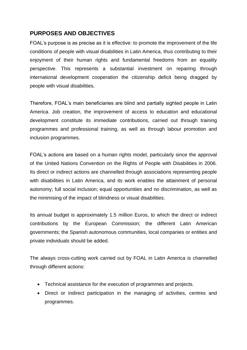## **PURPOSES AND OBJECTIVES**

FOAL's purpose is as precise as it is effective: to promote the improvement of the life conditions of people with visual disabilities in Latin America, thus contributing to their enjoyment of their human rights and fundamental freedoms from an equality perspective. This represents a substantial investment on repairing through international development cooperation the citizenship deficit being dragged by people with visual disabilities.

Therefore, FOAL's main beneficiaries are blind and partially sighted people in Latin America. Job creation, the improvement of access to education and educational development constitute its immediate contributions, carried out through training programmes and professional training, as well as through labour promotion and inclusion programmes.

FOAL's actions are based on a human rights model, particularly since the approval of the United Nations Convention on the Rights of People with Disabilities in 2006. Its direct or indirect actions are channelled through associations representing people with disabilities in Latin America, and its work enables the attainment of personal autonomy; full social inclusion; equal opportunities and no discrimination, as well as the minimising of the impact of blindness or visual disabilities.

Its annual budget is approximately 1.5 million Euros, to which the direct or indirect contributions by the European Commission; the different Latin American governments; the Spanish autonomous communities, local companies or entities and private individuals should be added.

The always cross-cutting work carried out by FOAL in Latin America is channelled through different actions:

- Technical assistance for the execution of programmes and projects.
- Direct or indirect participation in the managing of activities, centres and programmes.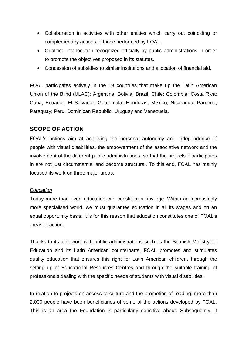- Collaboration in activities with other entities which carry out coinciding or complementary actions to those performed by FOAL.
- Qualified interlocution recognized officially by public administrations in order to promote the objectives proposed in its statutes.
- Concession of subsidies to similar institutions and allocation of financial aid.

FOAL participates actively in the 19 countries that make up the Latin American Union of the Blind (ULAC): Argentina; Bolivia; Brazil; Chile; Colombia; Costa Rica; Cuba; Ecuador; El Salvador; Guatemala; Honduras; Mexico; Nicaragua; Panama; Paraguay; Peru; Dominican Republic, Uruguay and Venezuela.

#### **SCOPE OF ACTION**

FOAL's actions aim at achieving the personal autonomy and independence of people with visual disabilities, the empowerment of the associative network and the involvement of the different public administrations, so that the projects it participates in are not just circumstantial and become structural. To this end, FOAL has mainly focused its work on three major areas:

#### *Education*

Today more than ever, education can constitute a privilege. Within an increasingly more specialised world, we must guarantee education in all its stages and on an equal opportunity basis. It is for this reason that education constitutes one of FOAL's areas of action.

Thanks to its joint work with public administrations such as the Spanish Ministry for Education and its Latin American counterparts, FOAL promotes and stimulates quality education that ensures this right for Latin American children, through the setting up of Educational Resources Centres and through the suitable training of professionals dealing with the specific needs of students with visual disabilities.

In relation to projects on access to culture and the promotion of reading, more than 2,000 people have been beneficiaries of some of the actions developed by FOAL. This is an area the Foundation is particularly sensitive about. Subsequently, it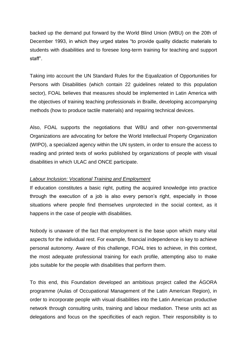backed up the demand put forward by the World Blind Union (WBU) on the 20th of December 1993, in which they urged states "to provide quality didactic materials to students with disabilities and to foresee long-term training for teaching and support staff".

Taking into account the UN Standard Rules for the Equalization of Opportunities for Persons with Disabilities (which contain 22 guidelines related to this population sector), FOAL believes that measures should be implemented in Latin America with the objectives of training teaching professionals in Braille, developing accompanying methods (how to produce tactile materials) and repairing technical devices.

Also, FOAL supports the negotiations that WBU and other non-governmental Organizations are advocating for before the World Intellectual Property Organization (WIPO), a specialized agency within the UN system, in order to ensure the access to reading and printed texts of works published by organizations of people with visual disabilities in which ULAC and ONCE participate.

#### *Labour Inclusion: Vocational Training and Employment*

If education constitutes a basic right, putting the acquired knowledge into practice through the execution of a job is also every person's right, especially in those situations where people find themselves unprotected in the social context, as it happens in the case of people with disabilities.

Nobody is unaware of the fact that employment is the base upon which many vital aspects for the individual rest. For example, financial independence is key to achieve personal autonomy. Aware of this challenge, FOAL tries to achieve, in this context, the most adequate professional training for each profile, attempting also to make jobs suitable for the people with disabilities that perform them.

To this end, this Foundation developed an ambitious project called the ÁGORA programme (Aulas of Occupational Management of the Latin American Region), in order to incorporate people with visual disabilities into the Latin American productive network through consulting units, training and labour mediation. These units act as delegations and focus on the specificities of each region. Their responsibility is to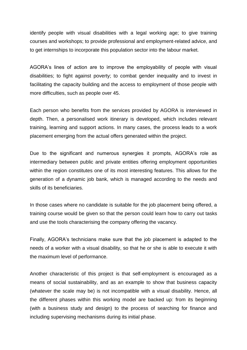identify people with visual disabilities with a legal working age; to give training courses and workshops; to provide professional and employment-related advice, and to get internships to incorporate this population sector into the labour market.

AGORA's lines of action are to improve the employability of people with visual disabilities; to fight against poverty; to combat gender inequality and to invest in facilitating the capacity building and the access to employment of those people with more difficulties, such as people over 45.

Each person who benefits from the services provided by AGORA is interviewed in depth. Then, a personalised work itinerary is developed, which includes relevant training, learning and support actions. In many cases, the process leads to a work placement emerging from the actual offers generated within the project.

Due to the significant and numerous synergies it prompts, AGORA's role as intermediary between public and private entities offering employment opportunities within the region constitutes one of its most interesting features. This allows for the generation of a dynamic job bank, which is managed according to the needs and skills of its beneficiaries.

In those cases where no candidate is suitable for the job placement being offered, a training course would be given so that the person could learn how to carry out tasks and use the tools characterising the company offering the vacancy.

Finally, AGORA's technicians make sure that the job placement is adapted to the needs of a worker with a visual disability, so that he or she is able to execute it with the maximum level of performance.

Another characteristic of this project is that self-employment is encouraged as a means of social sustainability, and as an example to show that business capacity (whatever the scale may be) is not incompatible with a visual disability. Hence, all the different phases within this working model are backed up: from its beginning (with a business study and design) to the process of searching for finance and including supervising mechanisms during its initial phase.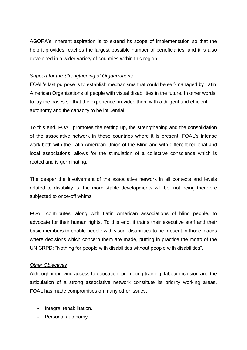AGORA's inherent aspiration is to extend its scope of implementation so that the help it provides reaches the largest possible number of beneficiaries, and it is also developed in a wider variety of countries within this region.

#### *Support for the Strengthening of Organizations*

FOAL's last purpose is to establish mechanisms that could be self-managed by Latin American Organizations of people with visual disabilities in the future. In other words; to lay the bases so that the experience provides them with a diligent and efficient autonomy and the capacity to be influential.

To this end, FOAL promotes the setting up, the strengthening and the consolidation of the associative network in those countries where it is present. FOAL's intense work both with the Latin American Union of the Blind and with different regional and local associations, allows for the stimulation of a collective conscience which is rooted and is germinating.

The deeper the involvement of the associative network in all contexts and levels related to disability is, the more stable developments will be, not being therefore subjected to once-off whims.

FOAL contributes, along with Latin American associations of blind people, to advocate for their human rights. To this end, it trains their executive staff and their basic members to enable people with visual disabilities to be present in those places where decisions which concern them are made, putting in practice the motto of the UN CRPD: "Nothing for people with disabilities without people with disabilities".

#### *Other Objectives*

Although improving access to education, promoting training, labour inclusion and the articulation of a strong associative network constitute its priority working areas, FOAL has made compromises on many other issues:

- Integral rehabilitation.
- Personal autonomy.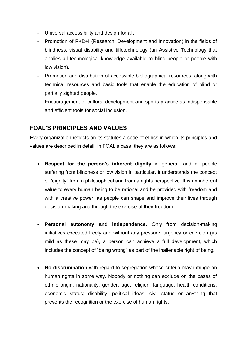- Universal accessibility and design for all.
- Promotion of R+D+I (Research, Development and Innovation) in the fields of blindness, visual disability and tiflotechnology (an Assistive Technology that applies all technological knowledge available to blind people or people with low vision).
- Promotion and distribution of accessible bibliographical resources, along with technical resources and basic tools that enable the education of blind or partially sighted people.
- Encouragement of cultural development and sports practice as indispensable and efficient tools for social inclusion.

#### **FOAL'S PRINCIPLES AND VALUES**

Every organization reflects on its statutes a code of ethics in which its principles and values are described in detail. In FOAL's case, they are as follows:

- **Respect for the person's inherent dignity** in general, and of people suffering from blindness or low vision in particular. It understands the concept of "dignity" from a philosophical and from a rights perspective. It is an inherent value to every human being to be rational and be provided with freedom and with a creative power, as people can shape and improve their lives through decision-making and through the exercise of their freedom.
- **Personal autonomy and independence**. Only from decision-making initiatives executed freely and without any pressure, urgency or coercion (as mild as these may be), a person can achieve a full development, which includes the concept of "being wrong" as part of the inalienable right of being.
- **No discrimination** with regard to segregation whose criteria may infringe on human rights in some way. Nobody or nothing can exclude on the bases of ethnic origin; nationality; gender; age; religion; language; health conditions; economic status; disability; political ideas, civil status or anything that prevents the recognition or the exercise of human rights.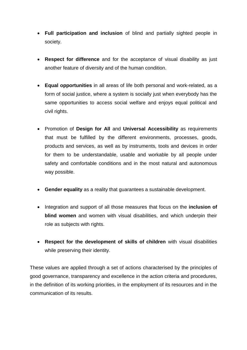- **Full participation and inclusion** of blind and partially sighted people in society.
- **Respect for difference** and for the acceptance of visual disability as just another feature of diversity and of the human condition.
- **Equal opportunities** in all areas of life both personal and work-related, as a form of social justice, where a system is socially just when everybody has the same opportunities to access social welfare and enjoys equal political and civil rights.
- Promotion of **Design for All** and **Universal Accessibility** as requirements that must be fulfilled by the different environments, processes, goods, products and services, as well as by instruments, tools and devices in order for them to be understandable, usable and workable by all people under safety and comfortable conditions and in the most natural and autonomous way possible.
- **Gender equality** as a reality that guarantees a sustainable development.
- Integration and support of all those measures that focus on the **inclusion of blind women** and women with visual disabilities, and which underpin their role as subjects with rights.
- **Respect for the development of skills of children** with visual disabilities while preserving their identity.

These values are applied through a set of actions characterised by the principles of good governance, transparency and excellence in the action criteria and procedures, in the definition of its working priorities, in the employment of its resources and in the communication of its results.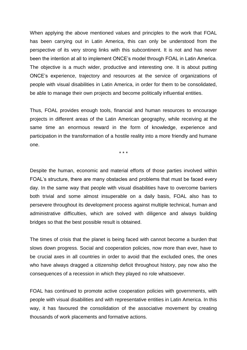When applying the above mentioned values and principles to the work that FOAL has been carrying out in Latin America, this can only be understood from the perspective of its very strong links with this subcontinent. It is not and has never been the intention at all to implement ONCE's model through FOAL in Latin America. The objective is a much wider, productive and interesting one. It is about putting ONCE's experience, trajectory and resources at the service of organizations of people with visual disabilities in Latin America, in order for them to be consolidated, be able to manage their own projects and become politically influential entities.

Thus, FOAL provides enough tools, financial and human resources to encourage projects in different areas of the Latin American geography, while receiving at the same time an enormous reward in the form of knowledge, experience and participation in the transformation of a hostile reality into a more friendly and humane one.

\* \* \*

Despite the human, economic and material efforts of those parties involved within FOAL's structure, there are many obstacles and problems that must be faced every day. In the same way that people with visual disabilities have to overcome barriers both trivial and some almost insuperable on a daily basis, FOAL also has to persevere throughout its development process against multiple technical, human and administrative difficulties, which are solved with diligence and always building bridges so that the best possible result is obtained.

The times of crisis that the planet is being faced with cannot become a burden that slows down progress. Social and cooperation policies, now more than ever, have to be crucial axes in all countries in order to avoid that the excluded ones, the ones who have always dragged a citizenship deficit throughout history, pay now also the consequences of a recession in which they played no role whatsoever.

FOAL has continued to promote active cooperation policies with governments, with people with visual disabilities and with representative entities in Latin America. In this way, it has favoured the consolidation of the associative movement by creating thousands of work placements and formative actions.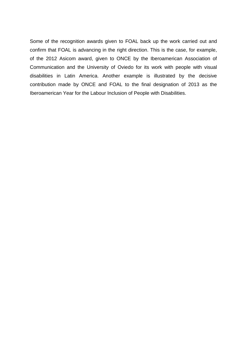Some of the recognition awards given to FOAL back up the work carried out and confirm that FOAL is advancing in the right direction. This is the case, for example, of the 2012 Asicom award, given to ONCE by the Iberoamerican Association of Communication and the University of Oviedo for its work with people with visual disabilities in Latin America. Another example is illustrated by the decisive contribution made by ONCE and FOAL to the final designation of 2013 as the Iberoamerican Year for the Labour Inclusion of People with Disabilities.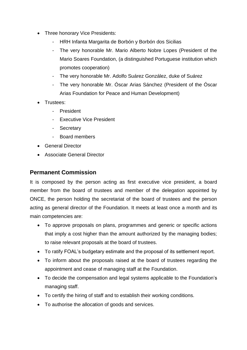- Three honorary Vice Presidents:
	- HRH Infanta Margarita de Borbón y Borbón dos Sicilias
	- The very honorable Mr. Mario Alberto Nobre Lopes (President of the Mario Soares Foundation, (a distinguished Portuguese institution which promotes cooperation)
	- The very honorable Mr. Adolfo Suárez González, duke of Suárez
	- The very honorable Mr. Óscar Arias Sánchez (President of the Óscar Arias Foundation for Peace and Human Development)
- Trustees:
	- **President**
	- Executive Vice President
	- Secretary
	- Board members
- **•** General Director
- Associate General Director

#### **Permanent Commission**

It is composed by the person acting as first executive vice president, a board member from the board of trustees and member of the delegation appointed by ONCE, the person holding the secretariat of the board of trustees and the person acting as general director of the Foundation. It meets at least once a month and its main competencies are:

- To approve proposals on plans, programmes and generic or specific actions that imply a cost higher than the amount authorized by the managing bodies; to raise relevant proposals at the board of trustees.
- To ratify FOAL's budgetary estimate and the proposal of its settlement report.
- To inform about the proposals raised at the board of trustees regarding the appointment and cease of managing staff at the Foundation.
- To decide the compensation and legal systems applicable to the Foundation's managing staff.
- To certify the hiring of staff and to establish their working conditions.
- To authorise the allocation of goods and services.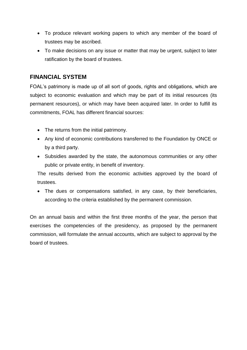- To produce relevant working papers to which any member of the board of trustees may be ascribed.
- To make decisions on any issue or matter that may be urgent, subject to later ratification by the board of trustees.

#### **FINANCIAL SYSTEM**

FOAL's patrimony is made up of all sort of goods, rights and obligations, which are subject to economic evaluation and which may be part of its initial resources (its permanent resources), or which may have been acquired later. In order to fulfill its commitments, FOAL has different financial sources:

- The returns from the initial patrimony.
- Any kind of economic contributions transferred to the Foundation by ONCE or by a third party.
- Subsidies awarded by the state, the autonomous communities or any other public or private entity, in benefit of inventory.

The results derived from the economic activities approved by the board of trustees.

 The dues or compensations satisfied, in any case, by their beneficiaries, according to the criteria established by the permanent commission.

On an annual basis and within the first three months of the year, the person that exercises the competencies of the presidency, as proposed by the permanent commission, will formulate the annual accounts, which are subject to approval by the board of trustees.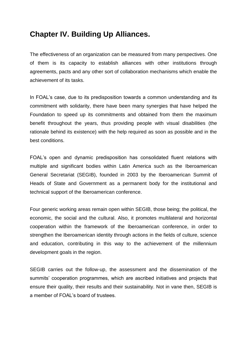# **Chapter IV. Building Up Alliances.**

The effectiveness of an organization can be measured from many perspectives. One of them is its capacity to establish alliances with other institutions through agreements, pacts and any other sort of collaboration mechanisms which enable the achievement of its tasks.

In FOAL's case, due to its predisposition towards a common understanding and its commitment with solidarity, there have been many synergies that have helped the Foundation to speed up its commitments and obtained from them the maximum benefit throughout the years, thus providing people with visual disabilities (the rationale behind its existence) with the help required as soon as possible and in the best conditions.

FOAL's open and dynamic predisposition has consolidated fluent relations with multiple and significant bodies within Latin America such as the Iberoamerican General Secretariat (SEGIB), founded in 2003 by the Iberoamerican Summit of Heads of State and Government as a permanent body for the institutional and technical support of the Iberoamerican conference.

Four generic working areas remain open within SEGIB, those being; the political, the economic, the social and the cultural. Also, it promotes multilateral and horizontal cooperation within the framework of the Iberoamerican conference, in order to strengthen the Iberoamerican identity through actions in the fields of culture, science and education, contributing in this way to the achievement of the millennium development goals in the region.

SEGIB carries out the follow-up, the assessment and the dissemination of the summits' cooperation programmes, which are ascribed initiatives and projects that ensure their quality, their results and their sustainability. Not in vane then, SEGIB is a member of FOAL's board of trustees.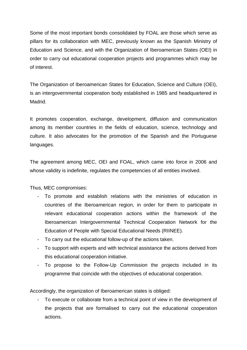Some of the most important bonds consolidated by FOAL are those which serve as pillars for its collaboration with MEC, previously known as the Spanish Ministry of Education and Science, and with the Organization of Iberoamerican States (OEI) in order to carry out educational cooperation projects and programmes which may be of interest.

The Organization of Iberoamerican States for Education, Science and Culture (OEI), is an intergovernmental cooperation body established in 1985 and headquartered in Madrid.

It promotes cooperation, exchange, development, diffusion and communication among its member countries in the fields of education, science, technology and culture. It also advocates for the promotion of the Spanish and the Portuguese languages.

The agreement among MEC, OEI and FOAL, which came into force in 2006 and whose validity is indefinite, regulates the competencies of all entities involved.

Thus, MEC compromises:

- To promote and establish relations with the ministries of education in countries of the Iberoamerican region, in order for them to participate in relevant educational cooperation actions within the framework of the Iberoamerican Intergovernmental Technical Cooperation Network for the Education of People with Special Educational Needs (RIINEE).
- To carry out the educational follow-up of the actions taken.
- To support with experts and with technical assistance the actions derived from this educational cooperation initiative.
- To propose to the Follow-Up Commission the projects included in its programme that coincide with the objectives of educational cooperation.

Accordingly, the organization of Iberoamerican states is obliged:

- To execute or collaborate from a technical point of view in the development of the projects that are formalised to carry out the educational cooperation actions.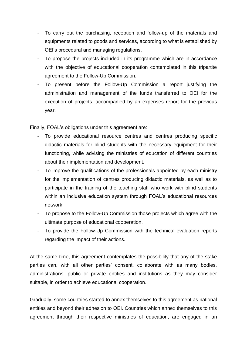- To carry out the purchasing, reception and follow-up of the materials and equipments related to goods and services, according to what is established by OEI's procedural and managing regulations.
- To propose the projects included in its programme which are in accordance with the objective of educational cooperation contemplated in this tripartite agreement to the Follow-Up Commission.
- To present before the Follow-Up Commission a report justifying the administration and management of the funds transferred to OEI for the execution of projects, accompanied by an expenses report for the previous year.

Finally, FOAL's obligations under this agreement are:

- To provide educational resource centres and centres producing specific didactic materials for blind students with the necessary equipment for their functioning, while advising the ministries of education of different countries about their implementation and development.
- To improve the qualifications of the professionals appointed by each ministry for the implementation of centres producing didactic materials, as well as to participate in the training of the teaching staff who work with blind students within an inclusive education system through FOAL's educational resources network.
- To propose to the Follow-Up Commission those projects which agree with the ultimate purpose of educational cooperation.
- To provide the Follow-Up Commission with the technical evaluation reports regarding the impact of their actions.

At the same time, this agreement contemplates the possibility that any of the stake parties can, with all other parties' consent, collaborate with as many bodies, administrations, public or private entities and institutions as they may consider suitable, in order to achieve educational cooperation.

Gradually, some countries started to annex themselves to this agreement as national entities and beyond their adhesion to OEI. Countries which annex themselves to this agreement through their respective ministries of education, are engaged in an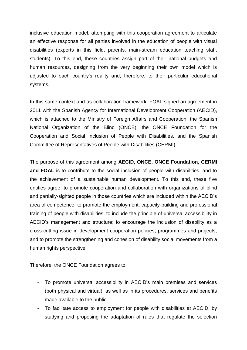inclusive education model, attempting with this cooperation agreement to articulate an effective response for all parties involved in the education of people with visual disabilities (experts in this field, parents, main-stream education teaching staff, students). To this end, these countries assign part of their national budgets and human resources, designing from the very beginning their own model which is adjusted to each country's reality and, therefore, to their particular educational systems.

In this same context and as collaboration framework, FOAL signed an agreement in 2011 with the Spanish Agency for International Development Cooperation (AECID), which is attached to the Ministry of Foreign Affairs and Cooperation; the Spanish National Organization of the Blind (ONCE); the ONCE Foundation for the Cooperation and Social Inclusion of People with Disabilities, and the Spanish Committee of Representatives of People with Disabilities (CERMI).

The purpose of this agreement among **AECID, ONCE, ONCE Foundation, CERMI**  and FOAL is to contribute to the social inclusion of people with disabilities, and to the achievement of a sustainable human development. To this end, these five entities agree: to promote cooperation and collaboration with organizations of blind and partially-sighted people in those countries which are included within the AECID's area of competence; to promote the employment, capacity-building and professional training of people with disabilities; to include the principle of universal accessibility in AECID's management and structure; to encourage the inclusion of disability as a cross-cutting issue in development cooperation policies, programmes and projects, and to promote the strengthening and cohesion of disability social movements from a human rights perspective.

Therefore, the ONCE Foundation agrees to:

- To promote universal accessibility in AECID's main premises and services (both physical and virtual), as well as in its procedures, services and benefits made available to the public.
- To facilitate access to employment for people with disabilities at AECID, by studying and proposing the adaptation of rules that regulate the selection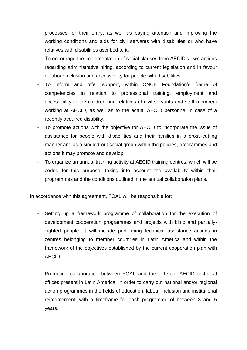processes for their entry, as well as paying attention and improving the working conditions and aids for civil servants with disabilities or who have relatives with disabilities ascribed to it.

- To encourage the implementation of social clauses from AECID's own actions regarding administrative hiring, according to current legislation and in favour of labour inclusion and accessibility for people with disabilities.
- To inform and offer support, within ONCE Foundation's frame of competencies in relation to professional training, employment and accessibility to the children and relatives of civil servants and staff members working at AECID, as well as to the actual AECID personnel in case of a recently acquired disability.
- To promote actions with the objective for AECID to incorporate the issue of assistance for people with disabilities and their families in a cross-cutting manner and as a singled-out social group within the policies, programmes and actions it may promote and develop.
- To organize an annual training activity at AECID training centres, which will be ceded for this purpose, taking into account the availability within their programmes and the conditions outlined in the annual collaboration plans.

In accordance with this agreement, FOAL will be responsible for:

- Setting up a framework programme of collaboration for the execution of development cooperation programmes and projects with blind and partiallysighted people. It will include performing technical assistance actions in centres belonging to member countries in Latin America and within the framework of the objectives established by the current cooperation plan with AECID.
- Promoting collaboration between FOAL and the different AECID technical offices present in Latin America, in order to carry out national and/or regional action programmes in the fields of education, labour inclusion and institutional reinforcement, with a timeframe for each programme of between 3 and 5 years.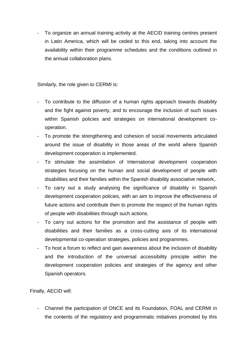- To organize an annual training activity at the AECID training centres present in Latin America, which will be ceded to this end, taking into account the availability within their programme schedules and the conditions outlined in the annual collaboration plans.

Similarly, the role given to CERMI is:

- To contribute to the diffusion of a human rights approach towards disability and the fight against poverty, and to encourage the inclusion of such issues within Spanish policies and strategies on international development cooperation.
- To promote the strengthening and cohesion of social movements articulated around the issue of disability in those areas of the world where Spanish development cooperation is implemented.
- To stimulate the assimilation of International development cooperation strategies focusing on the human and social development of people with disabilities and their families within the Spanish disability associative network,.
- To carry out a study analysing the significance of disability in Spanish development cooperation policies, with an aim to improve the effectiveness of future actions and contribute then to promote the respect of the human rights of people with disabilities through such actions.
- To carry out actions for the promotion and the assistance of people with disabilities and their families as a cross-cutting axis of its international developmental co-operation strategies, policies and programmes.
- To host a forum to reflect and gain awareness about the inclusion of disability and the introduction of the universal accessibility principle within the development cooperation policies and strategies of the agency and other Spanish operators.

Finally, AECID will:

- Channel the participation of ONCE and its Foundation, FOAL and CERMI in the contents of the regulatory and programmatic initiatives promoted by this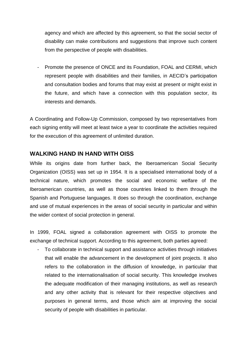agency and which are affected by this agreement, so that the social sector of disability can make contributions and suggestions that improve such content from the perspective of people with disabilities.

- Promote the presence of ONCE and its Foundation, FOAL and CERMI, which represent people with disabilities and their families, in AECID's participation and consultation bodies and forums that may exist at present or might exist in the future, and which have a connection with this population sector, its interests and demands.

A Coordinating and Follow-Up Commission, composed by two representatives from each signing entity will meet at least twice a year to coordinate the activities required for the execution of this agreement of unlimited duration.

## **WALKING HAND IN HAND WITH OISS**

While its origins date from further back, the Iberoamerican Social Security Organization (OISS) was set up in 1954. It is a specialised international body of a technical nature, which promotes the social and economic welfare of the Iberoamerican countries, as well as those countries linked to them through the Spanish and Portuguese languages. It does so through the coordination, exchange and use of mutual experiences in the areas of social security in particular and within the wider context of social protection in general.

In 1999, FOAL signed a collaboration agreement with OISS to promote the exchange of technical support. According to this agreement, both parties agreed:

- To collaborate in technical support and assistance activities through initiatives that will enable the advancement in the development of joint projects. It also refers to the collaboration in the diffusion of knowledge, in particular that related to the internationalisation of social security. This knowledge involves the adequate modification of their managing institutions, as well as research and any other activity that is relevant for their respective objectives and purposes in general terms, and those which aim at improving the social security of people with disabilities in particular.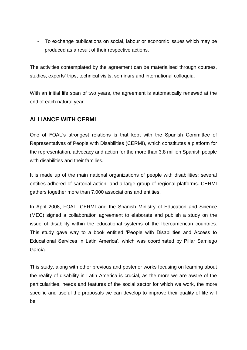- To exchange publications on social, labour or economic issues which may be produced as a result of their respective actions.

The activities contemplated by the agreement can be materialised through courses, studies, experts' trips, technical visits, seminars and international colloquia.

With an initial life span of two years, the agreement is automatically renewed at the end of each natural year.

# **ALLIANCE WITH CERMI**

One of FOAL's strongest relations is that kept with the Spanish Committee of Representatives of People with Disabilities (CERMI), which constitutes a platform for the representation, advocacy and action for the more than 3.8 million Spanish people with disabilities and their families.

It is made up of the main national organizations of people with disabilities; several entities adhered of sartorial action, and a large group of regional platforms. CERMI gathers together more than 7,000 associations and entities.

In April 2008, FOAL, CERMI and the Spanish Ministry of Education and Science (MEC) signed a collaboration agreement to elaborate and publish a study on the issue of disability within the educational systems of the Iberoamerican countries. This study gave way to a book entitled 'People with Disabilities and Access to Educational Services in Latin America', which was coordinated by Pillar Samiego García.

This study, along with other previous and posterior works focusing on learning about the reality of disability in Latin America is crucial, as the more we are aware of the particularities, needs and features of the social sector for which we work, the more specific and useful the proposals we can develop to improve their quality of life will be.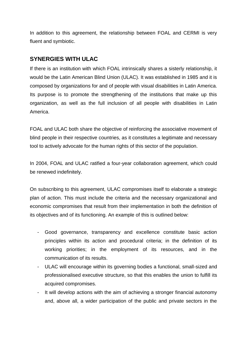In addition to this agreement, the relationship between FOAL and CERMI is very fluent and symbiotic.

# **SYNERGIES WITH ULAC**

If there is an institution with which FOAL intrinsically shares a sisterly relationship, it would be the Latin American Blind Union (ULAC). It was established in 1985 and it is composed by organizations for and of people with visual disabilities in Latin America. Its purpose is to promote the strengthening of the institutions that make up this organization, as well as the full inclusion of all people with disabilities in Latin America.

FOAL and ULAC both share the objective of reinforcing the associative movement of blind people in their respective countries, as it constitutes a legitimate and necessary tool to actively advocate for the human rights of this sector of the population.

In 2004, FOAL and ULAC ratified a four-year collaboration agreement, which could be renewed indefinitely.

On subscribing to this agreement, ULAC compromises itself to elaborate a strategic plan of action. This must include the criteria and the necessary organizational and economic compromises that result from their implementation in both the definition of its objectives and of its functioning. An example of this is outlined below:

- Good governance, transparency and excellence constitute basic action principles within its action and procedural criteria; in the definition of its working priorities; in the employment of its resources, and in the communication of its results.
- ULAC will encourage within its governing bodies a functional, small-sized and professionalised executive structure, so that this enables the union to fulfill its acquired compromises.
- It will develop actions with the aim of achieving a stronger financial autonomy and, above all, a wider participation of the public and private sectors in the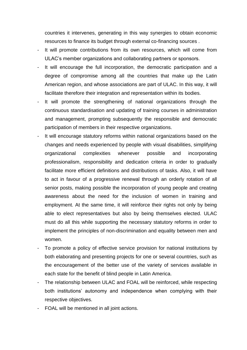countries it intervenes, generating in this way synergies to obtain economic resources to finance its budget through external co-financing sources .

- It will promote contributions from its own resources, which will come from ULAC's member organizations and collaborating partners or sponsors.
- It will encourage the full incorporation, the democratic participation and a degree of compromise among all the countries that make up the Latin American region, and whose associations are part of ULAC. In this way, it will facilitate therefore their integration and representation within its bodies.
- It will promote the strengthening of national organizations through the continuous standardisation and updating of training courses in administration and management, prompting subsequently the responsible and democratic participation of members in their respective organizations.
- It will encourage statutory reforms within national organizations based on the changes and needs experienced by people with visual disabilities, simplifying organizational complexities whenever possible and incorporating professionalism, responsibility and dedication criteria in order to gradually facilitate more efficient definitions and distributions of tasks. Also, it will have to act in favour of a progressive renewal through an orderly rotation of all senior posts, making possible the incorporation of young people and creating awareness about the need for the inclusion of women in training and employment. At the same time, it will reinforce their rights not only by being able to elect representatives but also by being themselves elected. ULAC must do all this while supporting the necessary statutory reforms in order to implement the principles of non-discrimination and equality between men and women.
- To promote a policy of effective service provision for national institutions by both elaborating and presenting projects for one or several countries, such as the encouragement of the better use of the variety of services available in each state for the benefit of blind people in Latin America.
- The relationship between ULAC and FOAL will be reinforced, while respecting both institutions' autonomy and independence when complying with their respective objectives.
- FOAL will be mentioned in all joint actions.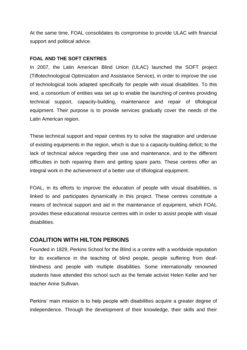At the same time, FOAL consolidates its compromise to provide ULAC with financial support and political advice.

## **FOAL AND THE SOFT CENTRES**

In 2007, the Latin American Blind Union (ULAC) launched the SOFT project (Tiflotechnological Optimization and Assistance Service), in order to improve the use of technological tools adapted specifically for people with visual disabilities. To this end, a consortium of entities was set up to enable the launching of centres providing technical support, capacity-building, maintenance and repair of tiflological equipment. Their purpose is to provide services gradually cover the needs of the Latin American region.

These technical support and repair centres try to solve the stagnation and underuse of existing equipments in the region, which is due to a capacity-building deficit; to the lack of technical advice regarding their use and maintenance, and to the different difficulties in both repairing them and getting spare parts. These centres offer an integral work in the achievement of a better use of tiflological equipment.

FOAL, in its efforts to improve the education of people with visual disabilities, is linked to and participates dynamically in this project. These centres constitute a means of technical support and aid in the maintenance of equipment, which FOAL provides these educational resource centres with in order to assist people with visual disabilities.

# **COALITION WITH HILTON PERKINS**

Founded in 1829, Perkins School for the Blind is a centre with a worldwide reputation for its excellence in the teaching of blind people, people suffering from deafblindness and people with multiple disabilities. Some internationally renowned students have attended this school such as the female activist Helen Keller and her teacher Anne Sullivan.

Perkins' main mission is to help people with disabilities acquire a greater degree of independence. Through the development of their knowledge, their skills and their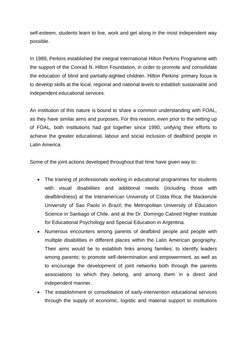self-esteem, students learn to live, work and get along in the most independent way possible.

In 1989, Perkins established the integral international Hilton Perkins Programme with the support of the Conrad N. Hilton Foundation, in order to promote and consolidate the education of blind and partially-sighted children. Hilton Perkins' primary focus is to develop skills at the local, regional and national levels to establish sustainable and independent educational services.

An institution of this nature is bound to share a common understanding with FOAL, as they have similar aims and purposes. For this reason, even prior to the setting up of FOAL, both institutions had got together since 1990, unifying their efforts to achieve the greater educational, labour and social inclusion of deafblind people in Latin America.

Some of the joint actions developed throughout that time have given way to:

- The training of professionals working in educational programmes for students with visual disabilities and additional needs (including those with deafblindness) at the Interamerican University of Costa Rica; the Mackenzie University of Sao Paolo in Brazil; the Metropolitan University of Education Science in Santiago of Chile, and at the Dr. Domingo Cabred Higher Institute for Educational Psychology and Special Education in Argentina.
- Numerous encounters among parents of deafblind people and people with multiple disabilities in different places within the Latin American geography. Their aims would be to establish links among families; to identify leaders among parents; to promote self-determination and empowerment, as well as to encourage the development of joint networks both through the parents associations to which they belong, and among them in a direct and independent manner.
- The establishment or consolidation of early-intervention educational services through the supply of economic, logistic and material support to institutions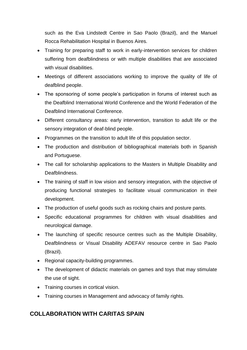such as the Eva Lindstedt Centre in Sao Paolo (Brazil), and the Manuel Rocca Rehabilitation Hospital in Buenos Aires.

- Training for preparing staff to work in early-intervention services for children suffering from deafblindness or with multiple disabilities that are associated with visual disabilities.
- Meetings of different associations working to improve the quality of life of deafblind people.
- The sponsoring of some people's participation in forums of interest such as the Deafblind International World Conference and the World Federation of the Deafblind International Conference.
- Different consultancy areas: early intervention, transition to adult life or the sensory integration of deaf-blind people.
- Programmes on the transition to adult life of this population sector.
- The production and distribution of bibliographical materials both in Spanish and Portuguese.
- The call for scholarship applications to the Masters in Multiple Disability and Deafblindness.
- The training of staff in low vision and sensory integration, with the objective of producing functional strategies to facilitate visual communication in their development.
- The production of useful goods such as rocking chairs and posture pants.
- Specific educational programmes for children with visual disabilities and neurological damage.
- The launching of specific resource centres such as the Multiple Disability, Deafblindness or Visual Disability ADEFAV resource centre in Sao Paolo (Brazil).
- Regional capacity-building programmes.
- The development of didactic materials on games and toys that may stimulate the use of sight.
- Training courses in cortical vision.
- Training courses in Management and advocacy of family rights.

# **COLLABORATION WITH CARITAS SPAIN**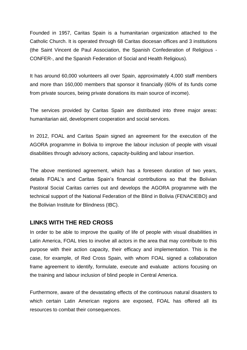Founded in 1957, Caritas Spain is a humanitarian organization attached to the Catholic Church. It is operated through 68 Caritas diocesan offices and 3 institutions (the Saint Vincent de Paul Association, the Spanish Confederation of Religious - CONFER-, and the Spanish Federation of Social and Health Religious).

It has around 60,000 volunteers all over Spain, approximately 4,000 staff members and more than 160,000 members that sponsor it financially (60% of its funds come from private sources, being private donations its main source of income).

The services provided by Caritas Spain are distributed into three major areas: humanitarian aid, development cooperation and social services.

In 2012, FOAL and Caritas Spain signed an agreement for the execution of the AGORA programme in Bolivia to improve the labour inclusion of people with visual disabilities through advisory actions, capacity-building and labour insertion.

The above mentioned agreement, which has a foreseen duration of two years, details FOAL's and Caritas Spain's financial contributions so that the Bolivian Pastoral Social Caritas carries out and develops the AGORA programme with the technical support of the National Federation of the Blind in Bolivia (FENACIEBO) and the Bolivian Institute for Blindness (IBC).

#### **LINKS WITH THE RED CROSS**

In order to be able to improve the quality of life of people with visual disabilities in Latin America, FOAL tries to involve all actors in the area that may contribute to this purpose with their action capacity, their efficacy and implementation. This is the case, for example, of Red Cross Spain, with whom FOAL signed a collaboration frame agreement to identify, formulate, execute and evaluate actions focusing on the training and labour inclusion of blind people in Central America.

Furthermore, aware of the devastating effects of the continuous natural disasters to which certain Latin American regions are exposed, FOAL has offered all its resources to combat their consequences.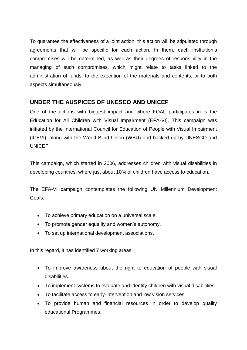To guarantee the effectiveness of a joint action, this action will be stipulated through agreements that will be specific for each action. In them, each institution's compromises will be determined, as well as their degrees of responsibility in the managing of such compromises, which might relate to tasks linked to the administration of funds; to the execution of the materials and contents, or to both aspects simultaneously.

# **UNDER THE AUSPICES OF UNESCO AND UNICEF**

One of the actions with biggest impact and where FOAL participates in is the Education for All Children with Visual Impairment (EFA-VI). This campaign was initiated by the International Council for Education of People with Visual Impairment (ICEVI), along with the World Blind Union (WBU) and backed up by UNESCO and **UNICEF.** 

This campaign, which started in 2006, addresses children with visual disabilities in developing countries, where just about 10% of children have access to education.

The EFA-VI campaign contemplates the following UN Millennium Development Goals:

- To achieve primary education on a universal scale.
- To promote gender equality and women's autonomy.
- To set up international development associations.

In this regard, it has identified 7 working areas:

- To improve awareness about the right to education of people with visual disabilities.
- To implement systems to evaluate and identify children with visual disabilities.
- To facilitate access to early-intervention and low vision services.
- To provide human and financial resources in order to develop quality educational Programmes.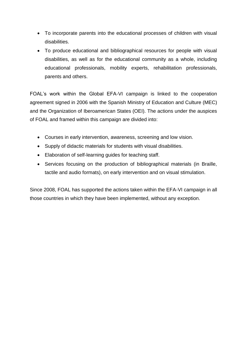- To incorporate parents into the educational processes of children with visual disabilities.
- To produce educational and bibliographical resources for people with visual disabilities, as well as for the educational community as a whole, including educational professionals, mobility experts, rehabilitation professionals, parents and others.

FOAL's work within the Global EFA-VI campaign is linked to the cooperation agreement signed in 2006 with the Spanish Ministry of Education and Culture (MEC) and the Organization of Iberoamerican States (OEI). The actions under the auspices of FOAL and framed within this campaign are divided into:

- Courses in early intervention, awareness, screening and low vision.
- Supply of didactic materials for students with visual disabilities.
- Elaboration of self-learning guides for teaching staff.
- Services focusing on the production of bibliographical materials (in Braille, tactile and audio formats), on early intervention and on visual stimulation.

Since 2008, FOAL has supported the actions taken within the EFA-VI campaign in all those countries in which they have been implemented, without any exception.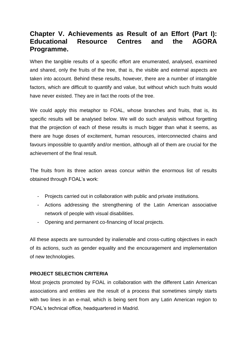# **Chapter V. Achievements as Result of an Effort (Part I): Educational Resource Centres and the AGORA Programme.**

When the tangible results of a specific effort are enumerated, analysed, examined and shared, only the fruits of the tree, that is, the visible and external aspects are taken into account. Behind these results, however, there are a number of intangible factors, which are difficult to quantify and value, but without which such fruits would have never existed. They are in fact the roots of the tree.

We could apply this metaphor to FOAL, whose branches and fruits, that is, its specific results will be analysed below. We will do such analysis without forgetting that the projection of each of these results is much bigger than what it seems, as there are huge doses of excitement, human resources, interconnected chains and favours impossible to quantify and/or mention, although all of them are crucial for the achievement of the final result.

The fruits from its three action areas concur within the enormous list of results obtained through FOAL's work:

- Projects carried out in collaboration with public and private institutions.
- Actions addressing the strengthening of the Latin American associative network of people with visual disabilities.
- Opening and permanent co-financing of local projects.

All these aspects are surrounded by inalienable and cross-cutting objectives in each of its actions, such as gender equality and the encouragement and implementation of new technologies.

## **PROJECT SELECTION CRITERIA**

Most projects promoted by FOAL in collaboration with the different Latin American associations and entities are the result of a process that sometimes simply starts with two lines in an e-mail, which is being sent from any Latin American region to FOAL's technical office, headquartered in Madrid.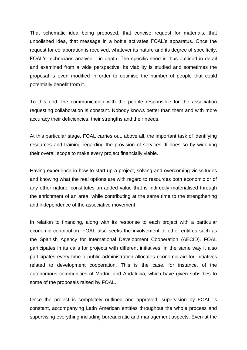That schematic idea being proposed, that concise request for materials, that unpolished idea, that message in a bottle activates FOAL's apparatus. Once the request for collaboration is received, whatever its nature and its degree of specificity, FOAL's technicians analyse it in depth. The specific need is thus outlined in detail and examined from a wide perspective; its viability is studied and sometimes the proposal is even modified in order to optimise the number of people that could potentially benefit from it.

To this end, the communication with the people responsible for the association requesting collaboration is constant. Nobody knows better than them and with more accuracy their deficiencies, their strengths and their needs.

At this particular stage, FOAL carries out, above all, the important task of identifying resources and training regarding the provision of services. It does so by widening their overall scope to make every project financially viable.

Having experience in how to start up a project, solving and overcoming vicissitudes and knowing what the real options are with regard to resources both economic or of any other nature, constitutes an added value that is indirectly materialised through the enrichment of an area, while contributing at the same time to the strengthening and independence of the associative movement.

In relation to financing, along with its response to each project with a particular economic contribution, FOAL also seeks the involvement of other entities such as the Spanish Agency for International Development Cooperation (AECID). FOAL participates in its calls for projects with different initiatives, in the same way it also participates every time a public administration allocates economic aid for initiatives related to development cooperation. This is the case, for instance, of the autonomous communities of Madrid and Andalucia, which have given subsidies to some of the proposals raised by FOAL.

Once the project is completely outlined and approved, supervision by FOAL is constant, accompanying Latin American entities throughout the whole process and supervising everything including bureaucratic and management aspects. Even at the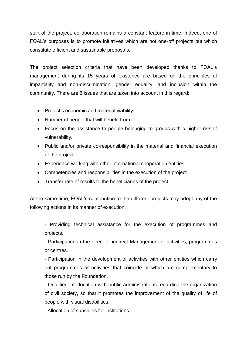start of the project, collaboration remains a constant feature in time. Indeed, one of FOAL's purposes is to promote initiatives which are not one-off projects but which constitute efficient and sustainable proposals.

The project selection criteria that have been developed thanks to FOAL's management during its 15 years of existence are based on the principles of impartiality and non-discrimination; gender equality, and inclusion within the community. There are 8 issues that are taken into account in this regard:

- Project's economic and material viability.
- Number of people that will benefit from it.
- Focus on the assistance to people belonging to groups with a higher risk of vulnerability.
- Public and/or private co-responsibility in the material and financial execution of the project.
- Experience working with other international cooperation entities.
- Competencies and responsibilities in the execution of the project.
- Transfer rate of results to the beneficiaries of the project.

At the same time, FOAL's contribution to the different projects may adopt any of the following actions in its manner of execution:

- Providing technical assistance for the execution of programmes and projects.

- Participation in the direct or indirect Management of activities, programmes or centres.

- Participation in the development of activities with other entities which carry out programmes or activities that coincide or which are complementary to those run by the Foundation.

- Qualified interlocution with public administrations regarding the organization of civil society, so that it promotes the improvement of the quality of life of people with visual disabilities.

- Allocation of subsidies for institutions.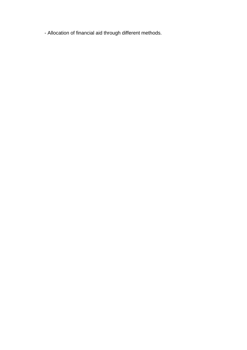- Allocation of financial aid through different methods.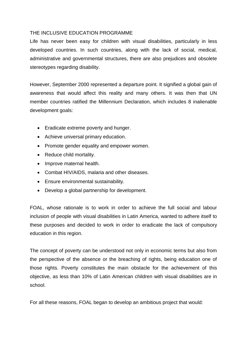#### THE INCLUSIVE EDUCATION PROGRAMME

Life has never been easy for children with visual disabilities, particularly in less developed countries. In such countries, along with the lack of social, medical, administrative and governmental structures, there are also prejudices and obsolete stereotypes regarding disability.

However, September 2000 represented a departure point. It signified a global gain of awareness that would affect this reality and many others. It was then that UN member countries ratified the Millennium Declaration, which includes 8 inalienable development goals:

- Eradicate extreme poverty and hunger.
- Achieve universal primary education.
- Promote gender equality and empower women.
- Reduce child mortality.
- Improve maternal health.
- Combat HIV/AIDS, malaria and other diseases.
- Ensure environmental sustainability.
- Develop a global partnership for development.

FOAL, whose rationale is to work in order to achieve the full social and labour inclusion of people with visual disabilities in Latin America, wanted to adhere itself to these purposes and decided to work in order to eradicate the lack of compulsory education in this region.

The concept of poverty can be understood not only in economic terms but also from the perspective of the absence or the breaching of rights, being education one of those rights. Poverty constitutes the main obstacle for the achievement of this objective, as less than 10% of Latin American children with visual disabilities are in school.

For all these reasons, FOAL began to develop an ambitious project that would: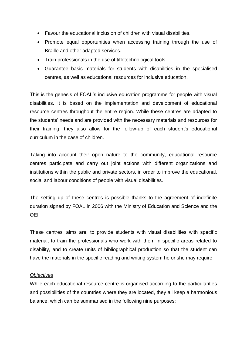- Favour the educational inclusion of children with visual disabilities.
- Promote equal opportunities when accessing training through the use of Braille and other adapted services.
- Train professionals in the use of tiflotechnological tools.
- Guarantee basic materials for students with disabilities in the specialised centres, as well as educational resources for inclusive education.

This is the genesis of FOAL's inclusive education programme for people with visual disabilities. It is based on the implementation and development of educational resource centres throughout the entire region. While these centres are adapted to the students' needs and are provided with the necessary materials and resources for their training, they also allow for the follow-up of each student's educational curriculum in the case of children.

Taking into account their open nature to the community, educational resource centres participate and carry out joint actions with different organizations and institutions within the public and private sectors, in order to improve the educational, social and labour conditions of people with visual disabilities.

The setting up of these centres is possible thanks to the agreement of indefinite duration signed by FOAL in 2006 with the Ministry of Education and Science and the OEI.

These centres' aims are; to provide students with visual disabilities with specific material; to train the professionals who work with them in specific areas related to disability, and to create units of bibliographical production so that the student can have the materials in the specific reading and writing system he or she may require.

#### *Objectives*

While each educational resource centre is organised according to the particularities and possibilities of the countries where they are located, they all keep a harmonious balance, which can be summarised in the following nine purposes: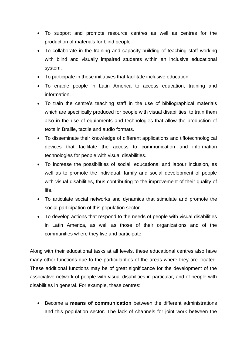- To support and promote resource centres as well as centres for the production of materials for blind people.
- To collaborate in the training and capacity-building of teaching staff working with blind and visually impaired students within an inclusive educational system.
- To participate in those initiatives that facilitate inclusive education.
- To enable people in Latin America to access education, training and information.
- To train the centre's teaching staff in the use of bibliographical materials which are specifically produced for people with visual disabilities; to train them also in the use of equipments and technologies that allow the production of texts in Braille, tactile and audio formats.
- To disseminate their knowledge of different applications and tiflotechnological devices that facilitate the access to communication and information technologies for people with visual disabilities.
- To increase the possibilities of social, educational and labour inclusion, as well as to promote the individual, family and social development of people with visual disabilities, thus contributing to the improvement of their quality of life.
- To articulate social networks and dynamics that stimulate and promote the social participation of this population sector.
- To develop actions that respond to the needs of people with visual disabilities in Latin America, as well as those of their organizations and of the communities where they live and participate.

Along with their educational tasks at all levels, these educational centres also have many other functions due to the particularities of the areas where they are located. These additional functions may be of great significance for the development of the associative network of people with visual disabilities in particular, and of people with disabilities in general. For example, these centres:

 Become a **means of communication** between the different administrations and this population sector. The lack of channels for joint work between the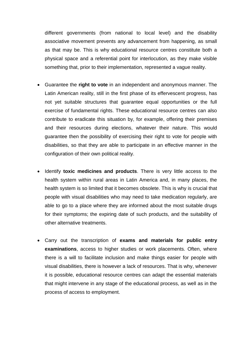different governments (from national to local level) and the disability associative movement prevents any advancement from happening, as small as that may be. This is why educational resource centres constitute both a physical space and a referential point for interlocution, as they make visible something that, prior to their implementation, represented a vague reality.

- Guarantee the **right to vote** in an independent and anonymous manner. The Latin American reality, still in the first phase of its effervescent progress, has not yet suitable structures that guarantee equal opportunities or the full exercise of fundamental rights. These educational resource centres can also contribute to eradicate this situation by, for example, offering their premises and their resources during elections, whatever their nature. This would guarantee then the possibility of exercising their right to vote for people with disabilities, so that they are able to participate in an effective manner in the configuration of their own political reality.
- Identify **toxic medicines and products**. There is very little access to the health system within rural areas in Latin America and, in many places, the health system is so limited that it becomes obsolete. This is why is crucial that people with visual disabilities who may need to take medication regularly, are able to go to a place where they are informed about the most suitable drugs for their symptoms; the expiring date of such products, and the suitability of other alternative treatments.
- Carry out the transcription of **exams and materials for public entry examinations**, access to higher studies or work placements. Often, where there is a will to facilitate inclusion and make things easier for people with visual disabilities, there is however a lack of resources. That is why, whenever it is possible, educational resource centres can adapt the essential materials that might intervene in any stage of the educational process, as well as in the process of access to employment.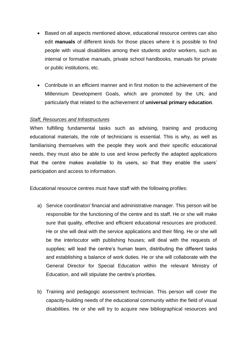- Based on all aspects mentioned above, educational resource centres can also edit **manuals** of different kinds for those places where it is possible to find people with visual disabilities among their students and/or workers, such as internal or formative manuals, private school handbooks, manuals for private or public institutions, etc.
- Contribute in an efficient manner and in first motion to the achievement of the Millennium Development Goals, which are promoted by the UN, and particularly that related to the achievement of **universal primary education**.

#### *Staff, Resources and Infrastructures*

When fulfilling fundamental tasks such as advising, training and producing educational materials, the role of technicians is essential. This is why, as well as familiarising themselves with the people they work and their specific educational needs, they must also be able to use and know perfectly the adapted applications that the centre makes available to its users, so that they enable the users' participation and access to information.

Educational resource centres must have staff with the following profiles:

- a) Service coordinator/ financial and administrative manager. This person will be responsible for the functioning of the centre and its staff. He or she will make sure that quality, effective and efficient educational resources are produced. He or she will deal with the service applications and their filing. He or she will be the interlocutor with publishing houses; will deal with the requests of supplies; will lead the centre's human team, distributing the different tasks and establishing a balance of work duties. He or she will collaborate with the General Director for Special Education within the relevant Ministry of Education, and will stipulate the centre's priorities.
- b) Training and pedagogic assessment technician. This person will cover the capacity-building needs of the educational community within the field of visual disabilities. He or she will try to acquire new bibliographical resources and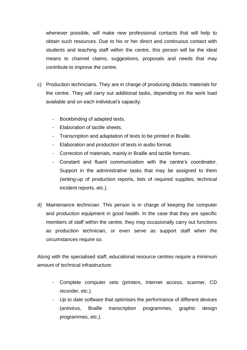whenever possible, will make new professional contacts that will help to obtain such resources. Due to his or her direct and continuous contact with students and teaching staff within the centre, this person will be the ideal means to channel claims, suggestions, proposals and needs that may contribute to improve the centre.

- c) Production technicians. They are in charge of producing didactic materials for the centre. They will carry out additional tasks, depending on the work load available and on each individual's capacity:
	- Bookbinding of adapted texts.
	- Elaboration of tactile sheets.
	- Transcription and adaptation of texts to be printed in Braille.
	- Elaboration and production of texts in audio format.
	- Correction of materials, mainly in Braille and tactile formats.
	- Constant and fluent communication with the centre's coordinator. Support in the administrative tasks that may be assigned to them (writing-up of production reports, lists of required supplies, technical incident reports, etc.).
- d) Maintenance technician. This person is in charge of keeping the computer and production equipment in good health. In the case that they are specific members of staff within the centre, they may occasionally carry out functions as production technician, or even serve as support staff when the circumstances require so.

Along with the specialised staff, educational resource centres require a minimum amount of technical infrastructure:

- Complete computer sets (printers, Internet access, scanner, CD recorder, etc.).
- *Up to date software* that optimises the performance of different devices (antivirus, Braille transcription programmes, graphic design programmes, etc.).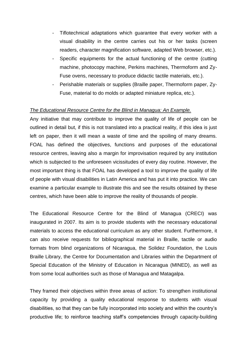- Tiflotechnical adaptations which guarantee that every worker with a visual disability in the centre carries out his or her tasks (screen readers, character magnification software, adapted Web browser, etc.).
- Specific equipments for the actual functioning of the centre (cutting machine, photocopy machine, Perkins machines, Thermoform and Zy-Fuse ovens, necessary to produce didactic tactile materials, etc.).
- Perishable materials or supplies (Braille paper, Thermoform paper, Zy-Fuse, material to do molds or adapted miniature replica, etc.).

## *The Educational Resource Centre for the Blind in Managua: An Example.*

Any initiative that may contribute to improve the quality of life of people can be outlined in detail but, if this is not translated into a practical reality, if this idea is just left on paper, then it will mean a waste of time and the spoiling of many dreams. FOAL has defined the objectives, functions and purposes of the educational resource centres, leaving also a margin for improvisation required by any institution which is subjected to the unforeseen vicissitudes of every day routine. However, the most important thing is that FOAL has developed a tool to improve the quality of life of people with visual disabilities in Latin America and has put it into practice. We can examine a particular example to illustrate this and see the results obtained by these centres, which have been able to improve the reality of thousands of people.

The Educational Resource Centre for the Blind of Managua (CRECI) was inaugurated in 2007. Its aim is to provide students with the necessary educational materials to access the educational curriculum as any other student. Furthermore, it can also receive requests for bibliographical material in Braille, tactile or audio formats from blind organizations of Nicaragua, the Solidez Foundation, the Louis Braille Library, the Centre for Documentation and Libraries within the Department of Special Education of the Ministry of Education in Nicaragua (MINED), as well as from some local authorities such as those of Managua and Matagalpa.

They framed their objectives within three areas of action: To strengthen institutional capacity by providing a quality educational response to students with visual disabilities, so that they can be fully incorporated into society and within the country's productive life; to reinforce teaching staff's competencies through capacity-building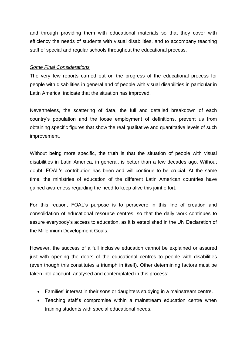and through providing them with educational materials so that they cover with efficiency the needs of students with visual disabilities, and to accompany teaching staff of special and regular schools throughout the educational process.

#### *Some Final Considerations*

The very few reports carried out on the progress of the educational process for people with disabilities in general and of people with visual disabilities in particular in Latin America, indicate that the situation has improved.

Nevertheless, the scattering of data, the full and detailed breakdown of each country's population and the loose employment of definitions, prevent us from obtaining specific figures that show the real qualitative and quantitative levels of such improvement.

Without being more specific, the truth is that the situation of people with visual disabilities in Latin America, in general, is better than a few decades ago. Without doubt, FOAL's contribution has been and will continue to be crucial. At the same time, the ministries of education of the different Latin American countries have gained awareness regarding the need to keep alive this joint effort.

For this reason, FOAL's purpose is to persevere in this line of creation and consolidation of educational resource centres, so that the daily work continues to assure everybody's access to education, as it is established in the UN Declaration of the Millennium Development Goals.

However, the success of a full inclusive education cannot be explained or assured just with opening the doors of the educational centres to people with disabilities (even though this constitutes a triumph in itself). Other determining factors must be taken into account, analysed and contemplated in this process:

- Families' interest in their sons or daughters studying in a mainstream centre.
- Teaching staff's compromise within a mainstream education centre when training students with special educational needs.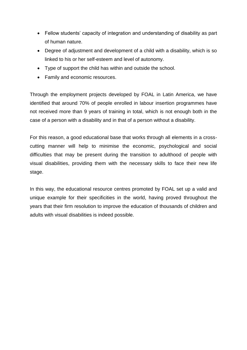- Fellow students' capacity of integration and understanding of disability as part of human nature.
- Degree of adjustment and development of a child with a disability, which is so linked to his or her self-esteem and level of autonomy.
- Type of support the child has within and outside the school.
- Family and economic resources.

Through the employment projects developed by FOAL in Latin America, we have identified that around 70% of people enrolled in labour insertion programmes have not received more than 9 years of training in total, which is not enough both in the case of a person with a disability and in that of a person without a disability.

For this reason, a good educational base that works through all elements in a crosscutting manner will help to minimise the economic, psychological and social difficulties that may be present during the transition to adulthood of people with visual disabilities, providing them with the necessary skills to face their new life stage.

In this way, the educational resource centres promoted by FOAL set up a valid and unique example for their specificities in the world, having proved throughout the years that their firm resolution to improve the education of thousands of children and adults with visual disabilities is indeed possible.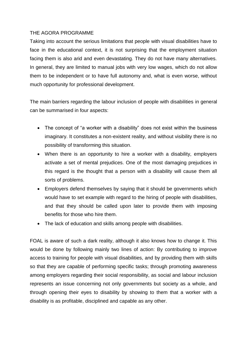## THE AGORA PROGRAMME

Taking into account the serious limitations that people with visual disabilities have to face in the educational context, it is not surprising that the employment situation facing them is also arid and even devastating. They do not have many alternatives. In general, they are limited to manual jobs with very low wages, which do not allow them to be independent or to have full autonomy and, what is even worse, without much opportunity for professional development.

The main barriers regarding the labour inclusion of people with disabilities in general can be summarised in four aspects:

- The concept of "a worker with a disability" does not exist within the business imaginary. It constitutes a non-existent reality, and without visibility there is no possibility of transforming this situation.
- When there is an opportunity to hire a worker with a disability, employers activate a set of mental prejudices. One of the most damaging prejudices in this regard is the thought that a person with a disability will cause them all sorts of problems.
- Employers defend themselves by saying that it should be governments which would have to set example with regard to the hiring of people with disabilities, and that they should be called upon later to provide them with imposing benefits for those who hire them.
- The lack of education and skills among people with disabilities.

FOAL is aware of such a dark reality, although it also knows how to change it. This would be done by following mainly two lines of action: By contributing to improve access to training for people with visual disabilities, and by providing them with skills so that they are capable of performing specific tasks; through promoting awareness among employers regarding their social responsibility, as social and labour inclusion represents an issue concerning not only governments but society as a whole, and through opening their eyes to disability by showing to them that a worker with a disability is as profitable, disciplined and capable as any other.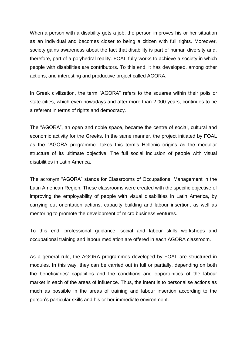When a person with a disability gets a job, the person improves his or her situation as an individual and becomes closer to being a citizen with full rights. Moreover, society gains awareness about the fact that disability is part of human diversity and, therefore, part of a polyhedral reality. FOAL fully works to achieve a society in which people with disabilities are contributors. To this end, it has developed, among other actions, and interesting and productive project called AGORA.

In Greek civilization, the term "AGORA" refers to the squares within their polis or state-cities, which even nowadays and after more than 2,000 years, continues to be a referent in terms of rights and democracy.

The "AGORA", an open and noble space, became the centre of social, cultural and economic activity for the Greeks. In the same manner, the project initiated by FOAL as the "AGORA programme" takes this term's Hellenic origins as the medullar structure of its ultimate objective: The full social inclusion of people with visual disabilities in Latin America.

The acronym "AGORA" stands for Classrooms of Occupational Management in the Latin American Region. These classrooms were created with the specific objective of improving the employability of people with visual disabilities in Latin America, by carrying out orientation actions, capacity building and labour insertion, as well as mentoring to promote the development of micro business ventures.

To this end, professional guidance, social and labour skills workshops and occupational training and labour mediation are offered in each AGORA classroom.

As a general rule, the AGORA programmes developed by FOAL are structured in modules. In this way, they can be carried out in full or partially, depending on both the beneficiaries' capacities and the conditions and opportunities of the labour market in each of the areas of influence. Thus, the intent is to personalise actions as much as possible in the areas of training and labour insertion according to the person's particular skills and his or her immediate environment.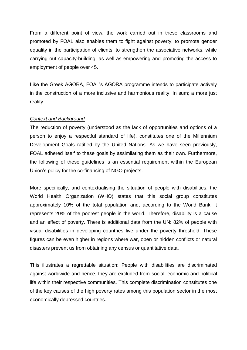From a different point of view, the work carried out in these classrooms and promoted by FOAL also enables them to fight against poverty; to promote gender equality in the participation of clients; to strengthen the associative networks, while carrying out capacity-building, as well as empowering and promoting the access to employment of people over 45.

Like the Greek AGORA, FOAL's AGORA programme intends to participate actively in the construction of a more inclusive and harmonious reality. In sum; a more just reality.

#### *Context and Background*

The reduction of poverty (understood as the lack of opportunities and options of a person to enjoy a respectful standard of life), constitutes one of the Millennium Development Goals ratified by the United Nations. As we have seen previously, FOAL adhered itself to these goals by assimilating them as their own. Furthermore, the following of these guidelines is an essential requirement within the European Union's policy for the co-financing of NGO projects.

More specifically, and contextualising the situation of people with disabilities, the World Health Organization (WHO) states that this social group constitutes approximately 10% of the total population and, according to the World Bank, it represents 20% of the poorest people in the world. Therefore, disability is a cause and an effect of poverty. There is additional data from the UN: 82% of people with visual disabilities in developing countries live under the poverty threshold. These figures can be even higher in regions where war, open or hidden conflicts or natural disasters prevent us from obtaining any census or quantitative data.

This illustrates a regrettable situation: People with disabilities are discriminated against worldwide and hence, they are excluded from social, economic and political life within their respective communities. This complete discrimination constitutes one of the key causes of the high poverty rates among this population sector in the most economically depressed countries.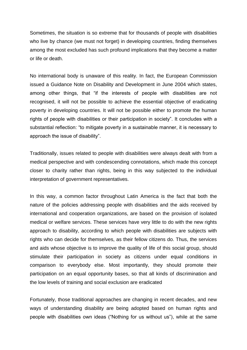Sometimes, the situation is so extreme that for thousands of people with disabilities who live by chance (we must not forget) in developing countries, finding themselves among the most excluded has such profound implications that they become a matter or life or death.

No international body is unaware of this reality. In fact, the European Commission issued a Guidance Note on Disability and Development in June 2004 which states, among other things, that "if the interests of people with disabilities are not recognised, it will not be possible to achieve the essential objective of eradicating poverty in developing countries. It will not be possible either to promote the human rights of people with disabilities or their participation in society". It concludes with a substantial reflection: "to mitigate poverty in a sustainable manner, it is necessary to approach the issue of disability".

Traditionally, issues related to people with disabilities were always dealt with from a medical perspective and with condescending connotations, which made this concept closer to charity rather than rights, being in this way subjected to the individual interpretation of government representatives.

In this way, a common factor throughout Latin America is the fact that both the nature of the policies addressing people with disabilities and the aids received by international and cooperation organizations, are based on the provision of isolated medical or welfare services. These services have very little to do with the new rights approach to disability, according to which people with disabilities are subjects with rights who can decide for themselves, as their fellow citizens do. Thus, the services and aids whose objective is to improve the quality of life of this social group, should stimulate their participation in society as citizens under equal conditions in comparison to everybody else. Most importantly, they should promote their participation on an equal opportunity bases, so that all kinds of discrimination and the low levels of training and social exclusion are eradicated

Fortunately, those traditional approaches are changing in recent decades, and new ways of understanding disability are being adopted based on human rights and people with disabilities own ideas ("Nothing for us without us"), while at the same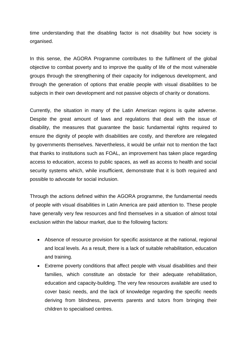time understanding that the disabling factor is not disability but how society is organised.

In this sense, the AGORA Programme contributes to the fulfilment of the global objective to combat poverty and to improve the quality of life of the most vulnerable groups through the strengthening of their capacity for indigenous development, and through the generation of options that enable people with visual disabilities to be subjects in their own development and not passive objects of charity or donations.

Currently, the situation in many of the Latin American regions is quite adverse. Despite the great amount of laws and regulations that deal with the issue of disability, the measures that guarantee the basic fundamental rights required to ensure the dignity of people with disabilities are costly, and therefore are relegated by governments themselves. Nevertheless, it would be unfair not to mention the fact that thanks to institutions such as FOAL, an improvement has taken place regarding access to education, access to public spaces, as well as access to health and social security systems which, while insufficient, demonstrate that it is both required and possible to advocate for social inclusion.

Through the actions defined within the AGORA programme, the fundamental needs of people with visual disabilities in Latin America are paid attention to. These people have generally very few resources and find themselves in a situation of almost total exclusion within the labour market, due to the following factors:

- Absence of resource provision for specific assistance at the national, regional and local levels. As a result, there is a lack of suitable rehabilitation, education and training.
- Extreme poverty conditions that affect people with visual disabilities and their families, which constitute an obstacle for their adequate rehabilitation, education and capacity-building. The very few resources available are used to cover basic needs, and the lack of knowledge regarding the specific needs deriving from blindness, prevents parents and tutors from bringing their children to specialised centres.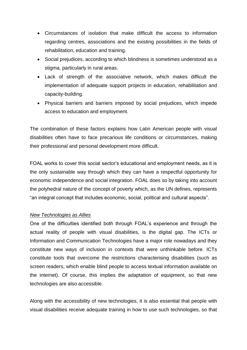- Circumstances of isolation that make difficult the access to information regarding centres, associations and the existing possibilities in the fields of rehabilitation, education and training.
- Social prejudices, according to which blindness is sometimes understood as a stigma, particularly in rural areas.
- Lack of strength of the associative network, which makes difficult the implementation of adequate support projects in education, rehabilitation and capacity-building.
- Physical barriers and barriers imposed by social prejudices, which impede access to education and employment.

The combination of these factors explains how Latin American people with visual disabilities often have to face precarious life conditions or circumstances, making their professional and personal development more difficult.

FOAL works to cover this social sector's educational and employment needs, as it is the only sustainable way through which they can have a respectful opportunity for economic independence and social integration. FOAL does so by taking into account the polyhedral nature of the concept of poverty which, as the UN defines, represents "an integral concept that includes economic, social, political and cultural aspects".

#### *New Technologies as Allies*

One of the difficulties identified both through FOAL's experience and through the actual reality of people with visual disabilities, is the digital gap. The ICTs or Information and Communication Technologies have a major role nowadays and they constitute new ways of inclusion in contexts that were unthinkable before. ICTs constitute tools that overcome the restrictions characterising disabilities (such as screen readers, which enable blind people to access textual information available on the internet). Of course, this implies the adaptation of equipment, so that new technologies are also accessible.

Along with the accessibility of new technologies, it is also essential that people with visual disabilities receive adequate training in how to use such technologies, so that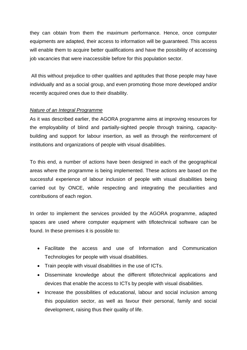they can obtain from them the maximum performance. Hence, once computer equipments are adapted, their access to information will be guaranteed. This access will enable them to acquire better qualifications and have the possibility of accessing job vacancies that were inaccessible before for this population sector.

 All this without prejudice to other qualities and aptitudes that those people may have individually and as a social group, and even promoting those more developed and/or recently acquired ones due to their disability.

#### *Nature of an Integral Programme*

As it was described earlier, the AGORA programme aims at improving resources for the employability of blind and partially-sighted people through training, capacitybuilding and support for labour insertion, as well as through the reinforcement of institutions and organizations of people with visual disabilities.

To this end, a number of actions have been designed in each of the geographical areas where the programme is being implemented. These actions are based on the successful experience of labour inclusion of people with visual disabilities being carried out by ONCE, while respecting and integrating the peculiarities and contributions of each region.

In order to implement the services provided by the AGORA programme, adapted spaces are used where computer equipment with tiflotechnical software can be found. In these premises it is possible to:

- Facilitate the access and use of Information and Communication Technologies for people with visual disabilities.
- Train people with visual disabilities in the use of ICTs.
- Disseminate knowledge about the different tiflotechnical applications and devices that enable the access to ICTs by people with visual disabilities.
- Increase the possibilities of educational, labour and social inclusion among this population sector, as well as favour their personal, family and social development, raising thus their quality of life.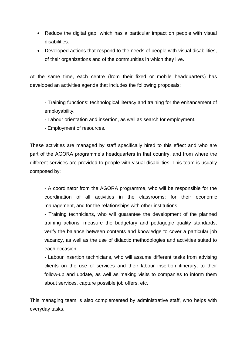- Reduce the digital gap, which has a particular impact on people with visual disabilities.
- Developed actions that respond to the needs of people with visual disabilities, of their organizations and of the communities in which they live.

At the same time, each centre (from their fixed or mobile headquarters) has developed an activities agenda that includes the following proposals:

- Training functions: technological literacy and training for the enhancement of employability.

- Labour orientation and insertion, as well as search for employment.
- Employment of resources.

These activities are managed by staff specifically hired to this effect and who are part of the AGORA programme's headquarters in that country, and from where the different services are provided to people with visual disabilities. This team is usually composed by:

- A coordinator from the AGORA programme, who will be responsible for the coordination of all activities in the classrooms; for their economic management, and for the relationships with other institutions.

- Training technicians, who will guarantee the development of the planned training actions; measure the budgetary and pedagogic quality standards; verify the balance between contents and knowledge to cover a particular job vacancy, as well as the use of didactic methodologies and activities suited to each occasion.

- Labour insertion technicians, who will assume different tasks from advising clients on the use of services and their labour insertion itinerary, to their follow-up and update, as well as making visits to companies to inform them about services, capture possible job offers, etc.

This managing team is also complemented by administrative staff, who helps with everyday tasks.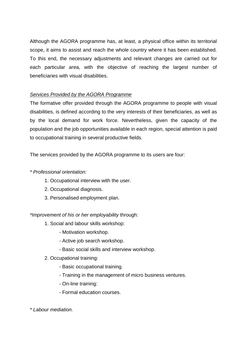Although the AGORA programme has, at least, a physical office within its territorial scope, it aims to assist and reach the whole country where it has been established. To this end, the necessary adjustments and relevant changes are carried out for each particular area, with the objective of reaching the largest number of beneficiaries with visual disabilities.

## *Services Provided by the AGORA Programme*

The formative offer provided through the AGORA programme to people with visual disabilities, is defined according to the very interests of their beneficiaries, as well as by the local demand for work force. Nevertheless, given the capacity of the population and the job opportunities available in each region, special attention is paid to occupational training in several productive fields.

The services provided by the AGORA programme to its users are four:

## *\* Professional orientation:*

- 1. Occupational interview with the user.
- 2. Occupational diagnosis.
- 3. Personalised employment plan.

*\*Improvement of his or her employability* through:

- 1. Social and labour skills workshop:
	- Motivation workshop.
	- Active job search workshop.
	- Basic social skills and interview workshop.
- 2. Occupational training:
	- Basic occupational training.
	- Training in the management of micro business ventures.
	- On-line training:
	- Formal education courses.

*\* Labour mediation.*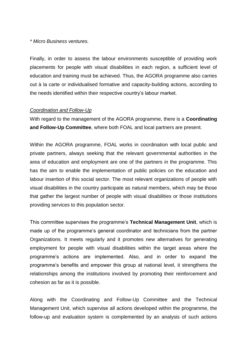#### *\* Micro Business ventures.*

Finally, in order to assess the labour environments susceptible of providing work placements for people with visual disabilities in each region, a sufficient level of education and training must be achieved. Thus, the AGORA programme also carries out à la carte or individualised formative and capacity-building actions, according to the needs identified within their respective country's labour market.

#### *Coordination and Follow-Up*

With regard to the management of the AGORA programme, there is a **Coordinating and Follow-Up Committee**, where both FOAL and local partners are present.

Within the AGORA programme, FOAL works in coordination with local public and private partners, always seeking that the relevant governmental authorities in the area of education and employment are one of the partners in the programme. This has the aim to enable the implementation of public policies on the education and labour insertion of this social sector. The most relevant organizations of people with visual disabilities in the country participate as natural members, which may be those that gather the largest number of people with visual disabilities or those institutions providing services to this population sector.

This committee supervises the programme's **Technical Management Unit**, which is made up of the programme's general coordinator and technicians from the partner Organizations. It meets regularly and it promotes new alternatives for generating employment for people with visual disabilities within the target areas where the programme's actions are implemented. Also, and in order to expand the programme's benefits and empower this group at national level, it strengthens the relationships among the institutions involved by promoting their reinforcement and cohesion as far as it is possible.

Along with the Coordinating and Follow-Up Committee and the Technical Management Unit, which supervise all actions developed within the programme, the follow-up and evaluation system is complemented by an analysis of such actions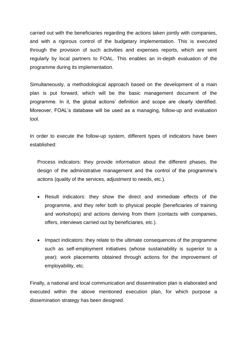carried out with the beneficiaries regarding the actions taken jointly with companies, and with a rigorous control of the budgetary implementation. This is executed through the provision of such activities and expenses reports, which are sent regularly by local partners to FOAL. This enables an in-depth evaluation of the programme during its implementation.

Simultaneously, a methodological approach based on the development of a main plan is put forward, which will be the basic management document of the programme. In it, the global actions' definition and scope are clearly identified. Moreover, FOAL's database will be used as a managing, follow-up and evaluation tool.

In order to execute the follow-up system, different types of indicators have been established:

Process indicators: they provide information about the different phases, the design of the administrative management and the control of the programme's actions (quality of the services, adjustment to needs, etc.).

- Result indicators: they show the direct and immediate effects of the programme, and they refer both to physical people (beneficiaries of training and workshops) and actions deriving from them (contacts with companies, offers, interviews carried out by beneficiaries, etc.).
- Impact indicators: they relate to the ultimate consequences of the programme such as self-employment initiatives (whose sustainability is superior to a year); work placements obtained through actions for the improvement of employability, etc.

Finally, a national and local communication and dissemination plan is elaborated and executed within the above mentioned execution plan, for which purpose a dissemination strategy has been designed.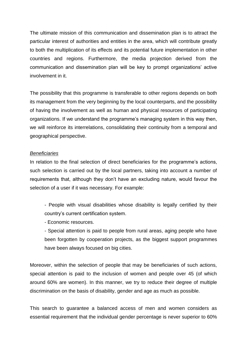The ultimate mission of this communication and dissemination plan is to attract the particular interest of authorities and entities in the area, which will contribute greatly to both the multiplication of its effects and its potential future implementation in other countries and regions. Furthermore, the media projection derived from the communication and dissemination plan will be key to prompt organizations' active involvement in it.

The possibility that this programme is transferable to other regions depends on both its management from the very beginning by the local counterparts, and the possibility of having the involvement as well as human and physical resources of participating organizations. If we understand the programme's managing system in this way then, we will reinforce its interrelations, consolidating their continuity from a temporal and geographical perspective.

#### *Beneficiaries*

In relation to the final selection of direct beneficiaries for the programme's actions, such selection is carried out by the local partners, taking into account a number of requirements that, although they don't have an excluding nature, would favour the selection of a user if it was necessary. For example:

- People with visual disabilities whose disability is legally certified by their country's current certification system.

- Economic resources.

- Special attention is paid to people from rural areas, aging people who have been forgotten by cooperation projects, as the biggest support programmes have been always focused on big cities.

Moreover, within the selection of people that may be beneficiaries of such actions, special attention is paid to the inclusion of women and people over 45 (of which around 60% are women). In this manner, we try to reduce their degree of multiple discrimination on the basis of disability, gender and age as much as possible.

This search to guarantee a balanced access of men and women considers as essential requirement that the individual gender percentage is never superior to 60%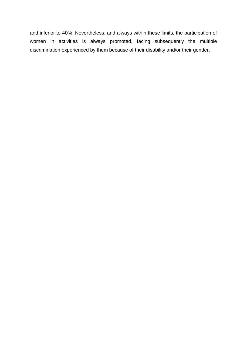and inferior to 40%. Nevertheless, and always within these limits, the participation of women in activities is always promoted, facing subsequently the multiple discrimination experienced by them because of their disability and/or their gender.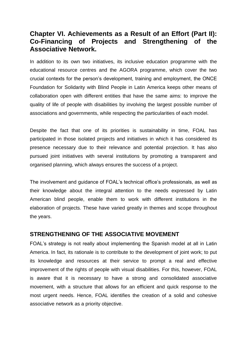# **Chapter VI. Achievements as a Result of an Effort (Part II): Co-Financing of Projects and Strengthening of the Associative Network.**

In addition to its own two initiatives, its inclusive education programme with the educational resource centres and the AGORA programme, which cover the two crucial contexts for the person's development, training and employment, the ONCE Foundation for Solidarity with Blind People in Latin America keeps other means of collaboration open with different entities that have the same aims: to improve the quality of life of people with disabilities by involving the largest possible number of associations and governments, while respecting the particularities of each model.

Despite the fact that one of its priorities is sustainability in time, FOAL has participated in those isolated projects and initiatives in which it has considered its presence necessary due to their relevance and potential projection. It has also pursued joint initiatives with several institutions by promoting a transparent and organised planning, which always ensures the success of a project.

The involvement and guidance of FOAL's technical office's professionals, as well as their knowledge about the integral attention to the needs expressed by Latin American blind people, enable them to work with different institutions in the elaboration of projects. These have varied greatly in themes and scope throughout the years.

## **STRENGTHENING OF THE ASSOCIATIVE MOVEMENT**

FOAL's strategy is not really about implementing the Spanish model at all in Latin America. In fact, its rationale is to contribute to the development of joint work; to put its knowledge and resources at their service to prompt a real and effective improvement of the rights of people with visual disabilities. For this, however, FOAL is aware that it is necessary to have a strong and consolidated associative movement, with a structure that allows for an efficient and quick response to the most urgent needs. Hence, FOAL identifies the creation of a solid and cohesive associative network as a priority objective.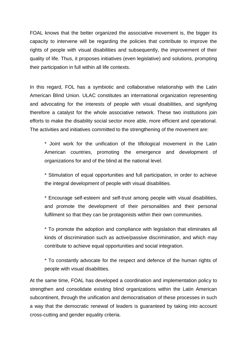FOAL knows that the better organized the associative movement is, the bigger its capacity to intervene will be regarding the policies that contribute to improve the rights of people with visual disabilities and subsequently, the improvement of their quality of life. Thus, it proposes initiatives (even legislative) and solutions, prompting their participation in full within all life contexts.

In this regard, FOL has a symbiotic and collaborative relationship with the Latin American Blind Union. ULAC constitutes an international organization representing and advocating for the interests of people with visual disabilities, and signifying therefore a catalyst for the whole associative network. These two institutions join efforts to make the disability social sector more able, more efficient and operational. The activities and initiatives committed to the strengthening of the movement are:

\* Joint work for the unification of the tiflological movement in the Latin American countries, promoting the emergence and development of organizations for and of the blind at the national level.

\* Stimulation of equal opportunities and full participation, in order to achieve the integral development of people with visual disabilities.

\* Encourage self-esteem and self-trust among people with visual disabilities, and promote the development of their personalities and their personal fulfilment so that they can be protagonists within their own communities.

\* To promote the adoption and compliance with legislation that eliminates all kinds of discrimination such as active/passive discrimination, and which may contribute to achieve equal opportunities and social integration.

\* To constantly advocate for the respect and defence of the human rights of people with visual disabilities.

At the same time, FOAL has developed a coordination and implementation policy to strengthen and consolidate existing blind organizations within the Latin American subcontinent, through the unification and democratisation of these processes in such a way that the democratic renewal of leaders is guaranteed by taking into account cross-cutting and gender equality criteria.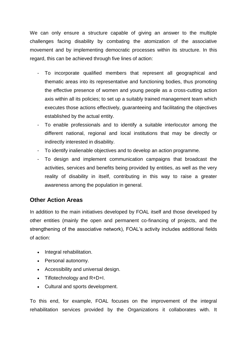We can only ensure a structure capable of giving an answer to the multiple challenges facing disability by combating the atomization of the associative movement and by implementing democratic processes within its structure. In this regard, this can be achieved through five lines of action:

- To incorporate qualified members that represent all geographical and thematic areas into its representative and functioning bodies, thus promoting the effective presence of women and young people as a cross-cutting action axis within all its policies; to set up a suitably trained management team which executes those actions effectively, guaranteeing and facilitating the objectives established by the actual entity.
- To enable professionals and to identify a suitable interlocutor among the different national, regional and local institutions that may be directly or indirectly interested in disability.
- To identify inalienable objectives and to develop an action programme.
- To design and implement communication campaigns that broadcast the activities, services and benefits being provided by entities, as well as the very reality of disability in itself, contributing in this way to raise a greater awareness among the population in general.

## **Other Action Areas**

In addition to the main initiatives developed by FOAL itself and those developed by other entities (mainly the open and permanent co-financing of projects, and the strengthening of the associative network), FOAL's activity includes additional fields of action:

- Integral rehabilitation.
- Personal autonomy.
- Accessibility and universal design.
- Tiflotechnology and R+D+I.
- Cultural and sports development.

To this end, for example, FOAL focuses on the improvement of the integral rehabilitation services provided by the Organizations it collaborates with. It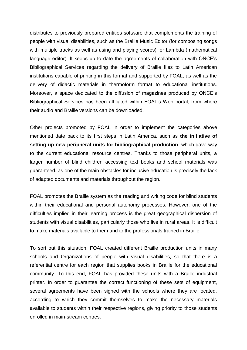distributes to previously prepared entities software that complements the training of people with visual disabilities, such as the Braille Music Editor (for composing songs with multiple tracks as well as using and playing scores), or Lambda (mathematical language editor). It keeps up to date the agreements of collaboration with ONCE's Bibliographical Services regarding the delivery of Braille files to Latin American institutions capable of printing in this format and supported by FOAL, as well as the delivery of didactic materials in thermoform format to educational institutions. Moreover, a space dedicated to the diffusion of magazines produced by ONCE's Bibliographical Services has been affiliated within FOAL's Web portal, from where their audio and Braille versions can be downloaded.

Other projects promoted by FOAL in order to implement the categories above mentioned date back to its first steps in Latin America, such as **the initiative of setting up new peripheral units for bibliographical production**, which gave way to the current educational resource centres. Thanks to those peripheral units, a larger number of blind children accessing text books and school materials was guaranteed, as one of the main obstacles for inclusive education is precisely the lack of adapted documents and materials throughout the region.

FOAL promotes the Braille system as the reading and writing code for blind students within their educational and personal autonomy processes. However, one of the difficulties implied in their learning process is the great geographical dispersion of students with visual disabilities, particularly those who live in rural areas. It is difficult to make materials available to them and to the professionals trained in Braille.

To sort out this situation, FOAL created different Braille production units in many schools and Organizations of people with visual disabilities, so that there is a referential centre for each region that supplies books in Braille for the educational community. To this end, FOAL has provided these units with a Braille industrial printer. In order to guarantee the correct functioning of these sets of equipment, several agreements have been signed with the schools where they are located, according to which they commit themselves to make the necessary materials available to students within their respective regions, giving priority to those students enrolled in main-stream centres.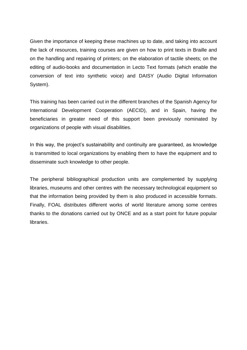Given the importance of keeping these machines up to date, and taking into account the lack of resources, training courses are given on how to print texts in Braille and on the handling and repairing of printers; on the elaboration of tactile sheets; on the editing of audio-books and documentation in Lecto Text formats (which enable the conversion of text into synthetic voice) and DAISY (Audio Digital Information System).

This training has been carried out in the different branches of the Spanish Agency for International Development Cooperation (AECID), and in Spain, having the beneficiaries in greater need of this support been previously nominated by organizations of people with visual disabilities.

In this way, the project's sustainability and continuity are guaranteed, as knowledge is transmitted to local organizations by enabling them to have the equipment and to disseminate such knowledge to other people.

The peripheral bibliographical production units are complemented by supplying libraries, museums and other centres with the necessary technological equipment so that the information being provided by them is also produced in accessible formats. Finally, FOAL distributes different works of world literature among some centres thanks to the donations carried out by ONCE and as a start point for future popular libraries.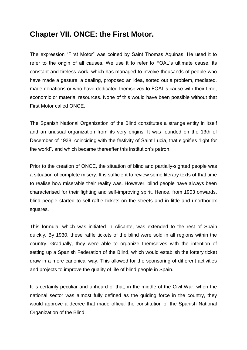# **Chapter VII. ONCE: the First Motor.**

The expression "First Motor" was coined by Saint Thomas Aquinas. He used it to refer to the origin of all causes. We use it to refer to FOAL's ultimate cause, its constant and tireless work, which has managed to involve thousands of people who have made a gesture, a dealing, proposed an idea, sorted out a problem, mediated, made donations or who have dedicated themselves to FOAL's cause with their time, economic or material resources. None of this would have been possible without that First Motor called ONCE.

The Spanish National Organization of the Blind constitutes a strange entity in itself and an unusual organization from its very origins. It was founded on the 13th of December of 1938, coinciding with the festivity of Saint Lucia, that signifies "light for the world", and which became thereafter this institution's patron.

Prior to the creation of ONCE, the situation of blind and partially-sighted people was a situation of complete misery. It is sufficient to review some literary texts of that time to realise how miserable their reality was. However, blind people have always been characterised for their fighting and self-improving spirit. Hence, from 1903 onwards, blind people started to sell raffle tickets on the streets and in little and unorthodox squares.

This formula, which was initiated in Alicante, was extended to the rest of Spain quickly. By 1930, these raffle tickets of the blind were sold in all regions within the country. Gradually, they were able to organize themselves with the intention of setting up a Spanish Federation of the Blind, which would establish the lottery ticket draw in a more canonical way. This allowed for the sponsoring of different activities and projects to improve the quality of life of blind people in Spain.

It is certainly peculiar and unheard of that, in the middle of the Civil War, when the national sector was almost fully defined as the guiding force in the country, they would approve a decree that made official the constitution of the Spanish National Organization of the Blind.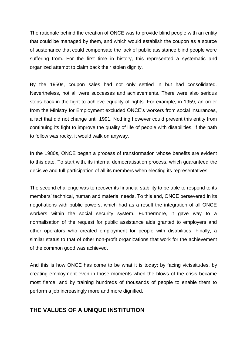The rationale behind the creation of ONCE was to provide blind people with an entity that could be managed by them, and which would establish the coupon as a source of sustenance that could compensate the lack of public assistance blind people were suffering from. For the first time in history, this represented a systematic and organized attempt to claim back their stolen dignity.

By the 1950s, coupon sales had not only settled in but had consolidated. Nevertheless, not all were successes and achievements. There were also serious steps back in the fight to achieve equality of rights. For example, in 1959, an order from the Ministry for Employment excluded ONCE's workers from social insurances, a fact that did not change until 1991. Nothing however could prevent this entity from continuing its fight to improve the quality of life of people with disabilities. If the path to follow was rocky, it would walk on anyway.

In the 1980s, ONCE began a process of transformation whose benefits are evident to this date. To start with, its internal democratisation process, which guaranteed the decisive and full participation of all its members when electing its representatives.

The second challenge was to recover its financial stability to be able to respond to its members' technical, human and material needs. To this end, ONCE persevered in its negotiations with public powers, which had as a result the integration of all ONCE workers within the social security system. Furthermore, it gave way to a normalisation of the request for public assistance aids granted to employers and other operators who created employment for people with disabilities. Finally, a similar status to that of other non-profit organizations that work for the achievement of the common good was achieved.

And this is how ONCE has come to be what it is today; by facing vicissitudes, by creating employment even in those moments when the blows of the crisis became most fierce, and by training hundreds of thousands of people to enable them to perform a job increasingly more and more dignified.

## **THE VALUES OF A UNIQUE INSTITUTION**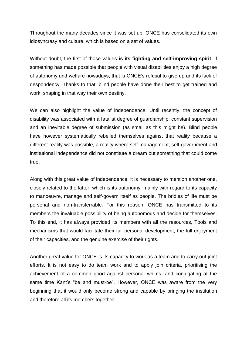Throughout the many decades since it was set up, ONCE has consolidated its own idiosyncrasy and culture, which is based on a set of values.

Without doubt, the first of those values **is its fighting and self-improving spirit**. If something has made possible that people with visual disabilities enjoy a high degree of autonomy and welfare nowadays, that is ONCE's refusal to give up and its lack of despondency. Thanks to that, blind people have done their best to get trained and work, shaping in that way their own destiny.

We can also highlight the value of independence. Until recently, the concept of disability was associated with a fatalist degree of guardianship, constant supervision and an inevitable degree of submission (as small as this might be). Blind people have however systematically rebelled themselves against that reality because a different reality was possible, a reality where self-management, self-government and institutional independence did not constitute a dream but something that could come true.

Along with this great value of independence, it is necessary to mention another one, closely related to the latter, which is its autonomy, mainly with regard to its capacity to manoeuvre, manage and self-govern itself as people. The bridles of life must be personal and non-transferrable. For this reason, ONCE has transmitted to its members the invaluable possibility of being autonomous and decide for themselves. To this end, it has always provided its members with all the resources, Tools and mechanisms that would facilitate their full personal development, the full enjoyment of their capacities, and the genuine exercise of their rights.

Another great value for ONCE is its capacity to work as a team and to carry out joint efforts. It is not easy to do team work and to apply join criteria, prioritising the achievement of a common good against personal whims, and conjugating at the same time Kant's "be and must-be". However, ONCE was aware from the very beginning that it would only become strong and capable by bringing the institution and therefore all its members together.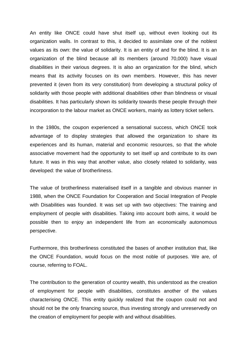An entity like ONCE could have shut itself up, without even looking out its organization walls. In contrast to this, it decided to assimilate one of the noblest values as its own: the value of solidarity. It is an entity of and for the blind. It is an organization of the blind because all its members (around 70,000) have visual disabilities in their various degrees. It is also an organization for the blind, which means that its activity focuses on its own members. However, this has never prevented it (even from its very constitution) from developing a structural policy of solidarity with those people with additional disabilities other than blindness or visual disabilities. It has particularly shown its solidarity towards these people through their incorporation to the labour market as ONCE workers, mainly as lottery ticket sellers.

In the 1980s, the coupon experienced a sensational success, which ONCE took advantage of to display strategies that allowed the organization to share its experiences and its human, material and economic resources, so that the whole associative movement had the opportunity to set itself up and contribute to its own future. It was in this way that another value, also closely related to solidarity, was developed: the value of brotherliness.

The value of brotherliness materialised itself in a tangible and obvious manner in 1988, when the ONCE Foundation for Cooperation and Social Integration of People with Disabilities was founded. It was set up with two objectives: The training and employment of people with disabilities. Taking into account both aims, it would be possible then to enjoy an independent life from an economically autonomous perspective.

Furthermore, this brotherliness constituted the bases of another institution that, like the ONCE Foundation, would focus on the most noble of purposes. We are, of course, referring to FOAL.

The contribution to the generation of country wealth, this understood as the creation of employment for people with disabilities, constitutes another of the values characterising ONCE. This entity quickly realized that the coupon could not and should not be the only financing source, thus investing strongly and unreservedly on the creation of employment for people with and without disabilities.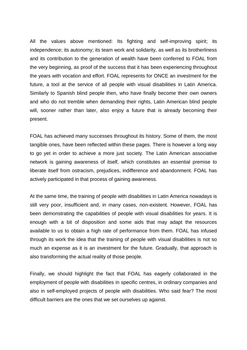All the values above mentioned: Its fighting and self-improving spirit; its independence; its autonomy; its team work and solidarity, as well as its brotherliness and its contribution to the generation of wealth have been conferred to FOAL from the very beginning, as proof of the success that it has been experiencing throughout the years with vocation and effort. FOAL represents for ONCE an investment for the future, a tool at the service of all people with visual disabilities in Latin America. Similarly to Spanish blind people then, who have finally become their own owners and who do not tremble when demanding their rights, Latin American blind people will, sooner rather than later, also enjoy a future that is already becoming their present.

FOAL has achieved many successes throughout its history. Some of them, the most tangible ones, have been reflected within these pages. There is however a long way to go yet in order to achieve a more just society. The Latin American associative network is gaining awareness of itself, which constitutes an essential premise to liberate itself from ostracism, prejudices, indifference and abandonment. FOAL has actively participated in that process of gaining awareness.

At the same time, the training of people with disabilities in Latin America nowadays is still very poor, insufficient and, in many cases, non-existent. However, FOAL has been demonstrating the capabilities of people with visual disabilities for years. It is enough with a bit of disposition and some aids that may adapt the resources available to us to obtain a high rate of performance from them. FOAL has infused through its work the idea that the training of people with visual disabilities is not so much an expense as it is an investment for the future. Gradually, that approach is also transforming the actual reality of those people.

Finally, we should highlight the fact that FOAL has eagerly collaborated in the employment of people with disabilities in specific centres, in ordinary companies and also in self-employed projects of people with disabilities. Who said fear? The most difficult barriers are the ones that we set ourselves up against.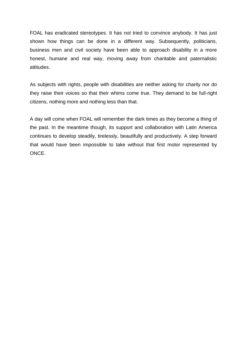FOAL has eradicated stereotypes. It has not tried to convince anybody. It has just shown how things can be done in a different way. Subsequently, politicians, business men and civil society have been able to approach disability in a more honest, humane and real way, moving away from charitable and paternalistic attitudes.

As subjects with rights, people with disabilities are neither asking for charity nor do they raise their voices so that their whims come true. They demand to be full-right citizens, nothing more and nothing less than that.

A day will come when FOAL will remember the dark times as they become a thing of the past. In the meantime though, its support and collaboration with Latin America continues to develop steadily, tirelessly, beautifully and productively. A step forward that would have been impossible to take without that first motor represented by ONCE.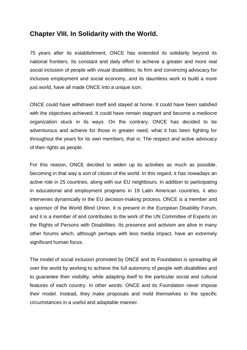## **Chapter VIII. In Solidarity with the World.**

75 years after its establishment, ONCE has extended its solidarity beyond its national frontiers. Its constant and daily effort to achieve a greater and more real social inclusion of people with visual disabilities; its firm and convincing advocacy for inclusive employment and social economy, and its dauntless work to build a more just world, have all made ONCE into a unique icon.

ONCE could have withdrawn itself and stayed at home. It could have been satisfied with the objectives achieved. It could have remain stagnant and become a mediocre organization stuck in its ways. On the contrary, ONCE has decided to be adventurous and achieve for those in greater need, what it has been fighting for throughout the years for its own members, that is: The respect and active advocacy of their rights as people.

For this reason, ONCE decided to widen up its activities as much as possible, becoming in that way a sort of citizen of the world. In this regard, it has nowadays an active role in 25 countries, along with our EU neighbours. In addition to participating in educational and employment programs in 19 Latin American countries, it also intervenes dynamically in the EU decision-making process. ONCE is a member and a sponsor of the World Blind Union. It is present in the European Disability Forum, and it is a member of and contributes to the work of the UN Committee of Experts on the Rights of Persons with Disabilities. Its presence and activism are alive in many other forums which, although perhaps with less media impact, have an extremely significant human focus.

The model of social inclusion promoted by ONCE and its Foundation is spreading all over the world by working to achieve the full autonomy of people with disabilities and to guarantee their visibility, while adapting itself to the particular social and cultural features of each country. In other words: ONCE and its Foundation never impose their model. Instead, they make proposals and mold themselves to the specific circumstances in a useful and adaptable manner.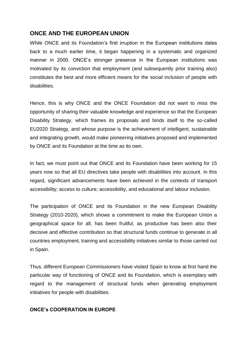## **ONCE AND THE EUROPEAN UNION**

While ONCE and its Foundation's first irruption in the European institutions dates back to a much earlier time, it began happening in a systematic and organized manner in 2000. ONCE's stronger presence in the European institutions was motivated by its conviction that employment (and subsequently prior training also) constitutes the best and more efficient means for the social inclusion of people with disabilities.

Hence, this is why ONCE and the ONCE Foundation did not want to miss the opportunity of sharing their valuable knowledge and experience so that the European Disability Strategy, which frames its proposals and binds itself to the so-called EU2020 Strategy, and whose purpose is the achievement of intelligent, sustainable and integrating growth, would make pioneering initiatives proposed and implemented by ONCE and its Foundation at the time as its own.

In fact, we must point out that ONCE and its Foundation have been working for 15 years now so that all EU directives take people with disabilities into account. In this regard, significant advancements have been achieved in the contexts of transport accessibility; access to culture; accessibility, and educational and labour inclusion.

The participation of ONCE and its Foundation in the new European Disability Strategy (2010-2020), which shows a commitment to make the European Union a geographical space for all, has been fruitful, as productive has been also their decisive and effective contribution so that structural funds continue to generate in all countries employment, training and accessibility initiatives similar to those carried out in Spain.

Thus, different European Commissioners have visited Spain to know at first hand the particular way of functioning of ONCE and its Foundation, which is exemplary with regard to the management of structural funds when generating employment initiatives for people with disabilities.

#### **ONCE's COOPERATION IN EUROPE**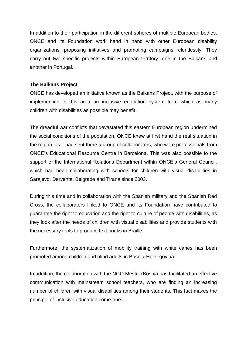In addition to their participation in the different spheres of multiple European bodies, ONCE and its Foundation work hand in hand with other European disability organizations, proposing initiatives and promoting campaigns relentlessly. They carry out two specific projects within European territory: one in the Balkans and another in Portugal.

#### **The Balkans Project**

ONCE has developed an initiative known as the Balkans Project, with the purpose of implementing in this area an inclusive education system from which as many children with disabilities as possible may benefit.

The dreadful war conflicts that devastated this eastern European region undermined the social conditions of the population. ONCE knew at first hand the real situation in the region, as it had sent there a group of collaborators, who were professionals from ONCE's Educational Resource Centre in Barcelona. This was also possible to the support of the International Relations Department within ONCE's General Council, which had been collaborating with schools for children with visual disabilities in Sarajevo, Derventa, Belgrade and Tirana since 2003.

During this time and in collaboration with the Spanish military and the Spanish Red Cross, the collaborators linked to ONCE and its Foundation have contributed to guarantee the right to education and the right to culture of people with disabilities, as they look after the needs of children with visual disabilities and provide students with the necessary tools to produce text books in Braille.

Furthermore, the systematization of mobility training with white canes has been promoted among children and blind adults in Bosnia-Herzegovina.

In addition, the collaboration with the NGO MestrexBosnia has facilitated an effective communication with mainstream school teachers, who are finding an increasing number of children with visual disabilities among their students. This fact makes the principle of inclusive education come true.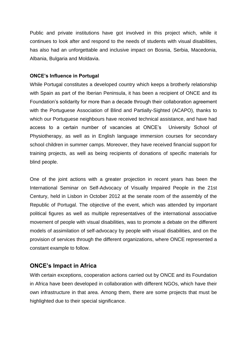Public and private institutions have got involved in this project which, while it continues to look after and respond to the needs of students with visual disabilities, has also had an unforgettable and inclusive impact on Bosnia, Serbia, Macedonia, Albania, Bulgaria and Moldavia.

#### **ONCE's Influence in Portugal**

While Portugal constitutes a developed country which keeps a brotherly relationship with Spain as part of the Iberian Peninsula, it has been a recipient of ONCE and its Foundation's solidarity for more than a decade through their collaboration agreement with the Portuguese Association of Blind and Partially-Sighted (ACAPO), thanks to which our Portuguese neighbours have received technical assistance, and have had access to a certain number of vacancies at ONCE's University School of Physiotherapy, as well as in English language immersion courses for secondary school children in summer camps. Moreover, they have received financial support for training projects, as well as being recipients of donations of specific materials for blind people.

One of the joint actions with a greater projection in recent years has been the International Seminar on Self-Advocacy of Visually Impaired People in the 21st Century, held in Lisbon in October 2012 at the senate room of the assembly of the Republic of Portugal. The objective of the event, which was attended by important political figures as well as multiple representatives of the international associative movement of people with visual disabilities, was to promote a debate on the different models of assimilation of self-advocacy by people with visual disabilities, and on the provision of services through the different organizations, where ONCE represented a constant example to follow.

## **ONCE's Impact in Africa**

With certain exceptions, cooperation actions carried out by ONCE and its Foundation in Africa have been developed in collaboration with different NGOs, which have their own infrastructure in that area. Among them, there are some projects that must be highlighted due to their special significance.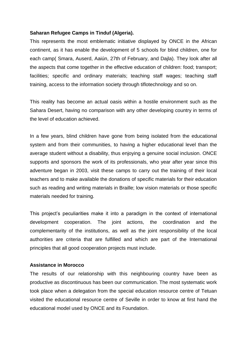#### **Saharan Refugee Camps in Tinduf (Algeria).**

This represents the most emblematic initiative displayed by ONCE in the African continent, as it has enable the development of 5 schools for blind children, one for each camp( Smara, Auserd, Aaiún, 27th of February, and Dajla). They look after all the aspects that come together in the effective education of children: food; transport; facilities; specific and ordinary materials; teaching staff wages; teaching staff training, access to the information society through tiflotechnology and so on.

This reality has become an actual oasis within a hostile environment such as the Sahara Desert, having no comparison with any other developing country in terms of the level of education achieved.

In a few years, blind children have gone from being isolated from the educational system and from their communities, to having a higher educational level than the average student without a disability, thus enjoying a genuine social inclusion. ONCE supports and sponsors the work of its professionals, who year after year since this adventure began in 2003, visit these camps to carry out the training of their local teachers and to make available the donations of specific materials for their education such as reading and writing materials in Braille; low vision materials or those specific materials needed for training.

This project's peculiarities make it into a paradigm in the context of international development cooperation. The joint actions, the coordination and the complementarity of the institutions, as well as the joint responsibility of the local authorities are criteria that are fulfilled and which are part of the International principles that all good cooperation projects must include.

#### **Assistance in Morocco**

The results of our relationship with this neighbouring country have been as productive as discontinuous has been our communication. The most systematic work took place when a delegation from the special education resource centre of Tetuan visited the educational resource centre of Seville in order to know at first hand the educational model used by ONCE and its Foundation.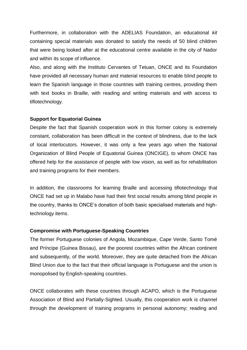Furthermore, in collaboration with the ADELIAS Foundation, an educational *kit* containing special materials was donated to satisfy the needs of 50 blind children that were being looked after at the educational centre available in the city of Nador and within its scope of influence.

Also, and along with the Instituto Cervantes of Tetuan, ONCE and its Foundation have provided all necessary human and material resources to enable blind people to learn the Spanish language in those countries with training centres, providing them with text books in Braille, with reading and writing materials and with access to tiflotechnology.

#### **Support for Equatorial Guinea**

Despite the fact that Spanish cooperation work in this former colony is extremely constant, collaboration has been difficult in the context of blindness, due to the lack of local interlocutors. However, it was only a few years ago when the National Organization of Blind People of Equatorial Guinea (ONCIGE), to whom ONCE has offered help for the assistance of people with low vision, as well as for rehabilitation and training programs for their members.

In addition, the classrooms for learning Braille and accessing tiflotechnology that ONCE had set up in Malabo have had their first social results among blind people in the country, thanks to ONCE's donation of both basic specialised materials and hightechnology items.

#### **Compromise with Portuguese-Speaking Countries**

The former Portuguese colonies of Angola, Mozambique, Cape Verde, Santo Tomé and Príncipe (Guinea Bissau), are the poorest countries within the African continent and subsequently, of the world. Moreover, they are quite detached from the African Blind Union due to the fact that their official language is Portuguese and the union is monopolised by English-speaking countries.

ONCE collaborates with these countries through ACAPO, which is the Portuguese Association of Blind and Partially-Sighted. Usually, this cooperation work is channel through the development of training programs in personal autonomy; reading and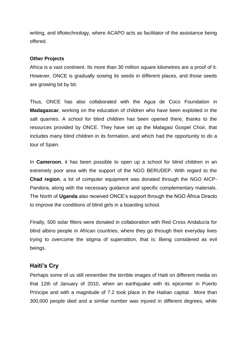writing, and tiflotechnology, where ACAPO acts as facilitator of the assistance being offered.

#### **Other Projects**

Africa is a vast continent. Its more than 30 million square kilometres are a proof of it. However, ONCE is gradually sowing its seeds in different places, and those seeds are growing bit by bit.

Thus, ONCE has also collaborated with the Agua de Coco Foundation in **Madagascar**, working on the education of children who have been exploited in the salt quarries. A school for blind children has been opened there, thanks to the resources provided by ONCE. They have set up the Malagasi Gospel Choir, that includes many blind children in its formation, and which had the opportunity to do a tour of Spain.

In **Cameroon**, it has been possible to open up a school for blind children in an extremely poor area with the support of the NGO BERUDEP. With regard to the **Chad region**, a lot of computer equipment was donated through the NGO AICP-Pandora, along with the necessary guidance and specific complementary materials. The North of **Uganda** also received ONCE's support through the NGO África Directo to improve the conditions of blind girls in a boarding school.

Finally, 500 solar filters were donated in collaboration with Red Cross Andalucía for blind albino people in African countries, where they go through their everyday lives trying to overcome the stigma of superstition, that is: Being considered as evil beings.

## **Haiti's Cry**

Perhaps some of us still remember the terrible images of Haiti on different media on that 12th of January of 2010, when an earthquake with its epicenter in Puerto Príncipe and with a magnitude of 7.2 took place in the Haitian capital. More than 300,000 people died and a similar number was injured in different degrees, while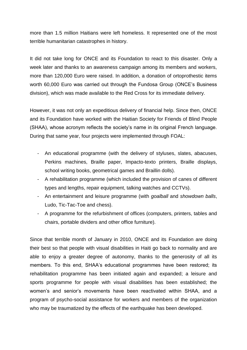more than 1.5 million Haitians were left homeless. It represented one of the most terrible humanitarian catastrophes in history.

It did not take long for ONCE and its Foundation to react to this disaster. Only a week later and thanks to an awareness campaign among its members and workers, more than 120,000 Euro were raised. In addition, a donation of ortoprothestic items worth 60,000 Euro was carried out through the Fundosa Group (ONCE's Business division), which was made available to the Red Cross for its immediate delivery.

However, it was not only an expeditious delivery of financial help. Since then, ONCE and its Foundation have worked with the Haitian Society for Friends of Blind People (SHAA), whose acronym reflects the society's name in its original French language. During that same year, four projects were implemented through FOAL:

- An educational programme (with the delivery of styluses, slates, abacuses, Perkins machines, Braille paper, Impacto-texto printers, Braille displays, school writing books, geometrical games and Braillin dolls).
- A rehabilitation programme (which included the provision of canes of different types and lengths, repair equipment, talking watches and CCTVs).
- An entertainment and leisure programme (with *goalball* and *showdown balls*, Ludo, Tic-Tac-Toe and chess).
- A programme for the refurbishment of offices (computers, printers, tables and chairs, portable dividers and other office furniture).

Since that terrible month of January in 2010, ONCE and its Foundation are doing their best so that people with visual disabilities in Haiti go back to normality and are able to enjoy a greater degree of autonomy, thanks to the generosity of all its members. To this end, SHAA's educational programmes have been restored; its rehabilitation programme has been initiated again and expanded; a leisure and sports programme for people with visual disabilities has been established; the women's and senior's movements have been reactivated within SHAA, and a program of psycho-social assistance for workers and members of the organization who may be traumatized by the effects of the earthquake has been developed.